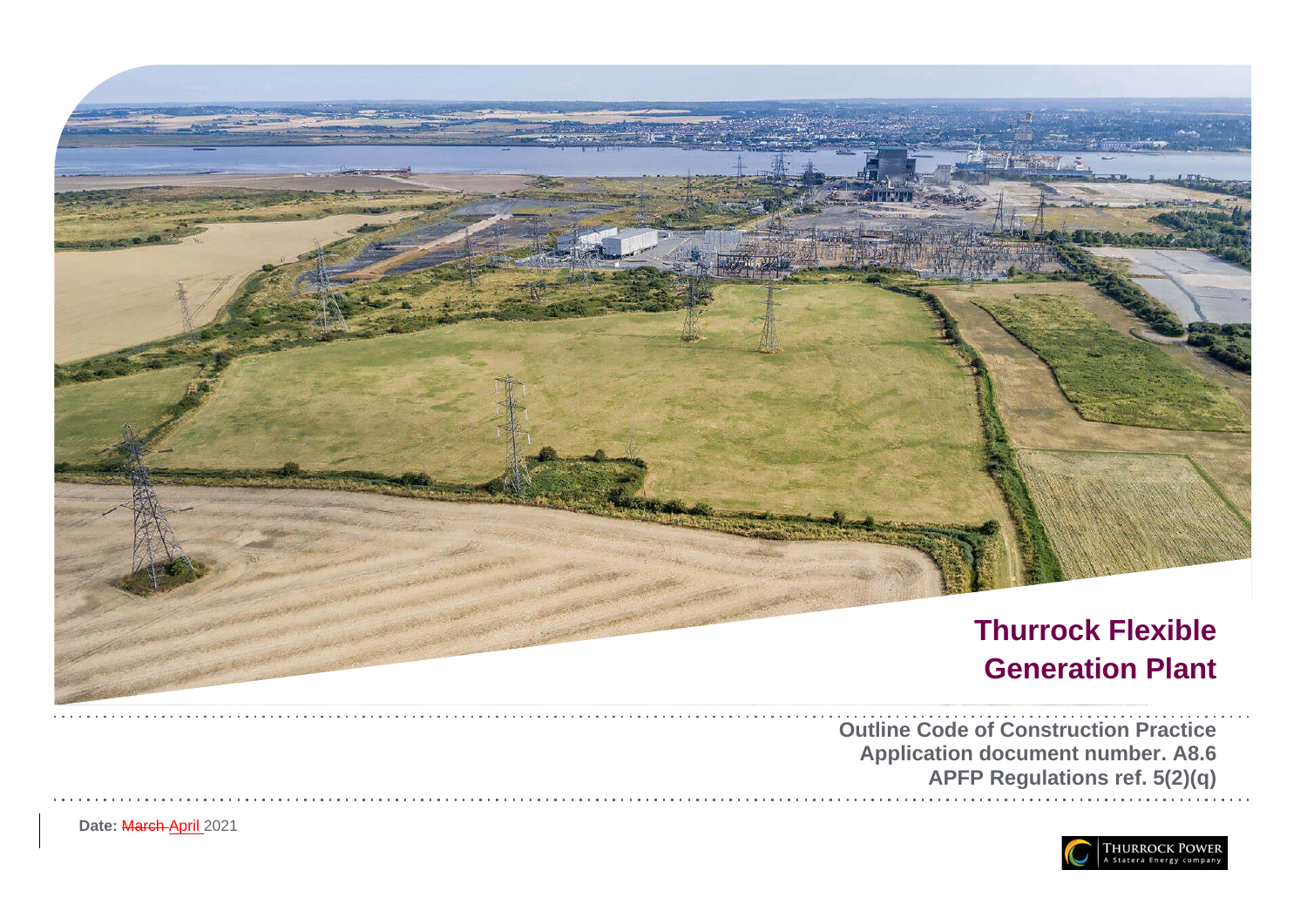

Date: March April 2021

**Application document number. A8.6 APFP Regulations ref. 5(2)(q)**

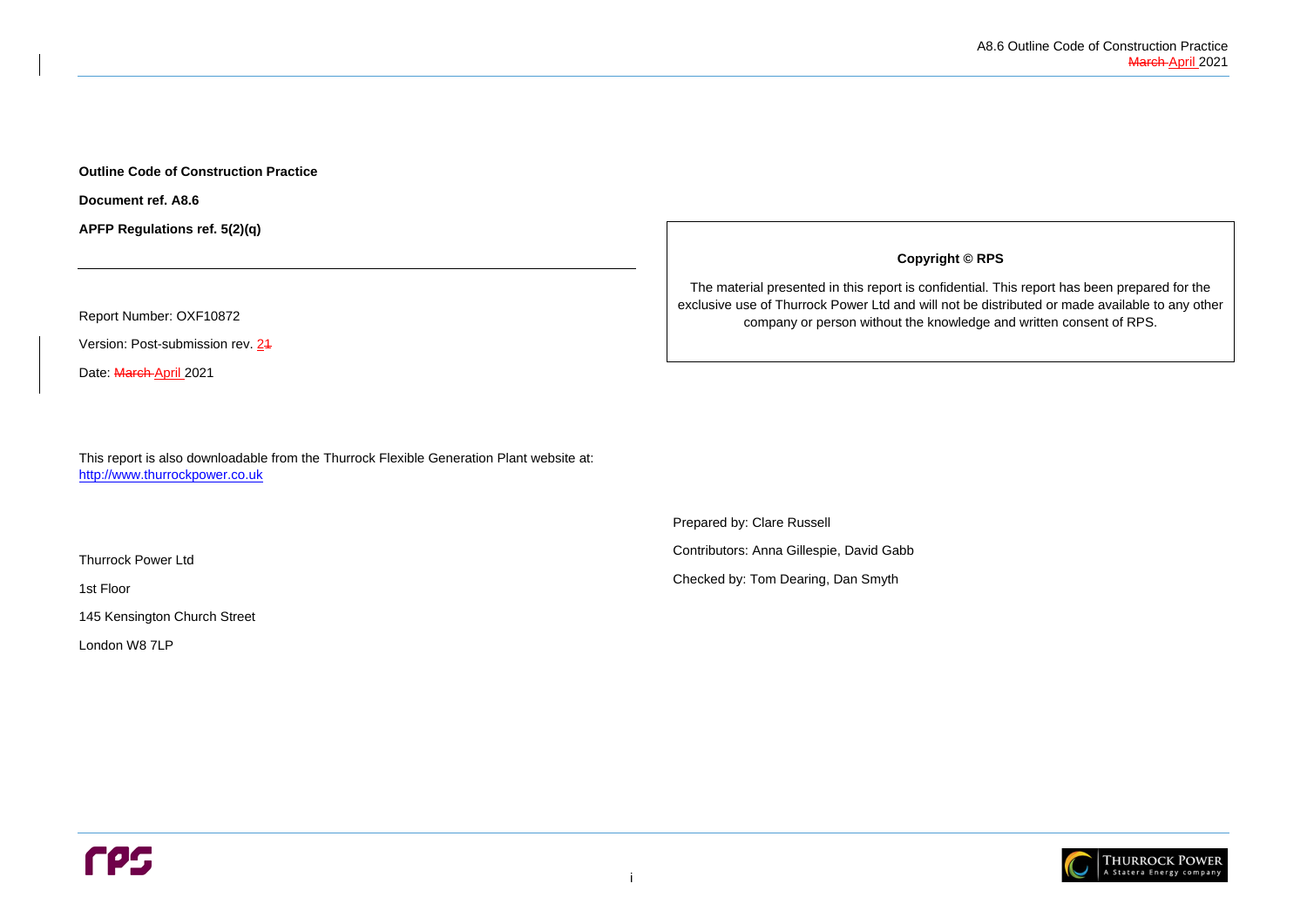

**Outline Code of Construction Practice**

**Document ref. A8.6**

**APFP Regulations ref. 5(2)(q)**

Report Number: OXF10872

Version: Post-submission rev. 24

Date: March April 2021

This report is also downloadable from the Thurrock Flexible Generation Plant website at: [http://www.thurrockpower.co.uk](http://www.thurrockpower.co.uk/)

Thurrock Power Ltd

1st Floor

145 Kensington Church Street

London W8 7LP

**Copyright © RPS**

The material presented in this report is confidential. This report has been prepared for the exclusive use of Thurrock Power Ltd and will not be distributed or made available to any other company or person without the knowledge and written consent of RPS.

Prepared by: Clare Russell

Contributors: Anna Gillespie, David Gabb

Checked by: Tom Dearing, Dan Smyth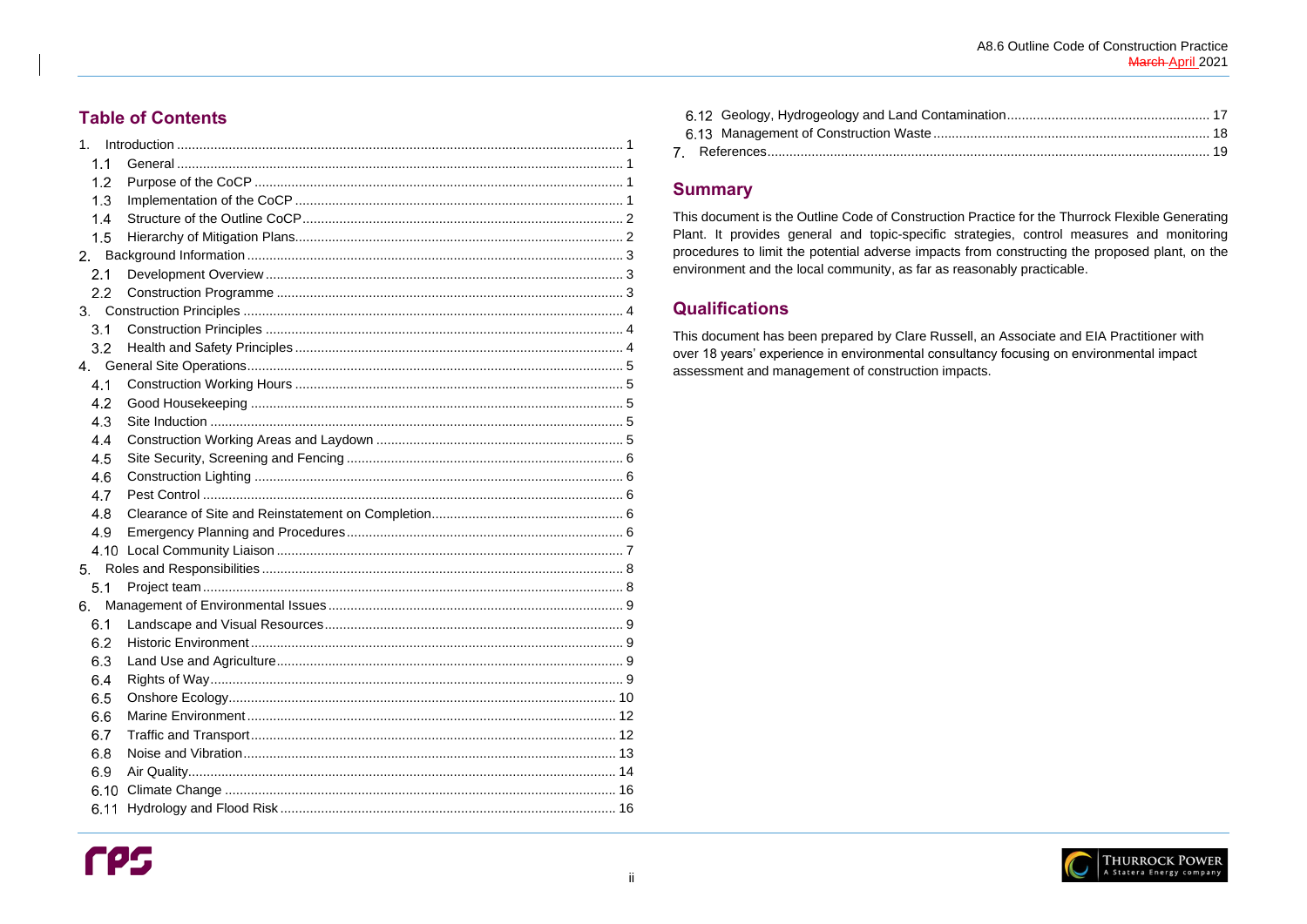## **Table of Contents**

| 1 <sub>1</sub> |  |
|----------------|--|
| 1.1            |  |
| 1.2            |  |
| 1.3            |  |
| 1.4            |  |
| 1.5            |  |
| 2.             |  |
| 2.1            |  |
| 2.2            |  |
|                |  |
| 3.1            |  |
| 3.2            |  |
|                |  |
| 4.1            |  |
| 4.2            |  |
| 4.3            |  |
| 4.4            |  |
| 4.5            |  |
| 4.6            |  |
| 4.7            |  |
| 4.8            |  |
| 4.9            |  |
|                |  |
| 5.             |  |
| 5.1            |  |
| 6.             |  |
|                |  |
| 6.2            |  |
| 6.3            |  |
| 6.4            |  |
| 6.5            |  |
| 6.6            |  |
| 6.7            |  |
| 6.8            |  |
| 6.9            |  |
| 6.10           |  |
| 6.11           |  |

## **Summary**

This document is the Outline Code of Construction Practice for the Thurrock Flexible Generating Plant. It provides general and topic-specific strategies, control measures and monitoring procedures to limit the potential adverse impacts from constructing the proposed plant, on the environment and the local community, as far as reasonably practicable.

# **Qualifications**

This document has been prepared by Clare Russell, an Associate and EIA Practitioner with over 18 years' experience in environmental consultancy focusing on environmental impact assessment and management of construction impacts.

A8.6 Outline Code of Construction Practice March-April 2021

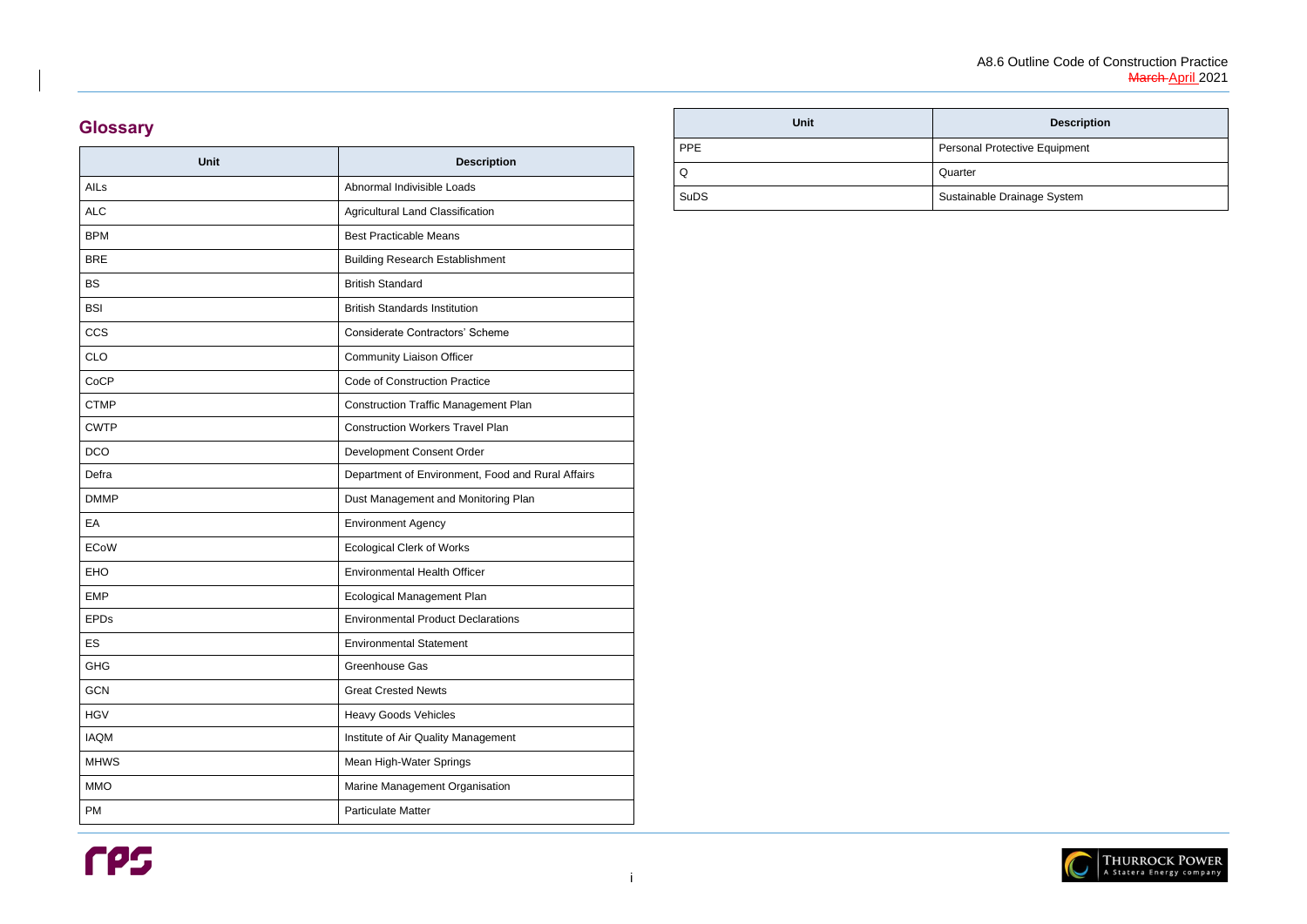### **Description**

Protective Equipment

le Drainage System



i

# **Glossary**

| <b>Unit</b> | <b>Description</b>                                |
|-------------|---------------------------------------------------|
| AILs        | Abnormal Indivisible Loads                        |
| <b>ALC</b>  | Agricultural Land Classification                  |
| <b>BPM</b>  | <b>Best Practicable Means</b>                     |
| <b>BRE</b>  | <b>Building Research Establishment</b>            |
| <b>BS</b>   | <b>British Standard</b>                           |
| <b>BSI</b>  | <b>British Standards Institution</b>              |
| <b>CCS</b>  | <b>Considerate Contractors' Scheme</b>            |
| <b>CLO</b>  | <b>Community Liaison Officer</b>                  |
| CoCP        | <b>Code of Construction Practice</b>              |
| <b>CTMP</b> | <b>Construction Traffic Management Plan</b>       |
| <b>CWTP</b> | <b>Construction Workers Travel Plan</b>           |
| <b>DCO</b>  | Development Consent Order                         |
| Defra       | Department of Environment, Food and Rural Affairs |
| <b>DMMP</b> | Dust Management and Monitoring Plan               |
| EA          | <b>Environment Agency</b>                         |
| <b>ECoW</b> | <b>Ecological Clerk of Works</b>                  |
| <b>EHO</b>  | <b>Environmental Health Officer</b>               |
| <b>EMP</b>  | <b>Ecological Management Plan</b>                 |
| <b>EPDs</b> | <b>Environmental Product Declarations</b>         |
| ES          | <b>Environmental Statement</b>                    |
| <b>GHG</b>  | Greenhouse Gas                                    |
| <b>GCN</b>  | <b>Great Crested Newts</b>                        |
| <b>HGV</b>  | <b>Heavy Goods Vehicles</b>                       |
| <b>IAQM</b> | Institute of Air Quality Management               |
| <b>MHWS</b> | Mean High-Water Springs                           |
| <b>MMO</b>  | Marine Management Organisation                    |
| <b>PM</b>   | <b>Particulate Matter</b>                         |

| <b>Unit</b> |            |
|-------------|------------|
| <b>PPE</b>  | Personal F |
| Q           | Quarter    |
| <b>SuDS</b> | Sustainabl |

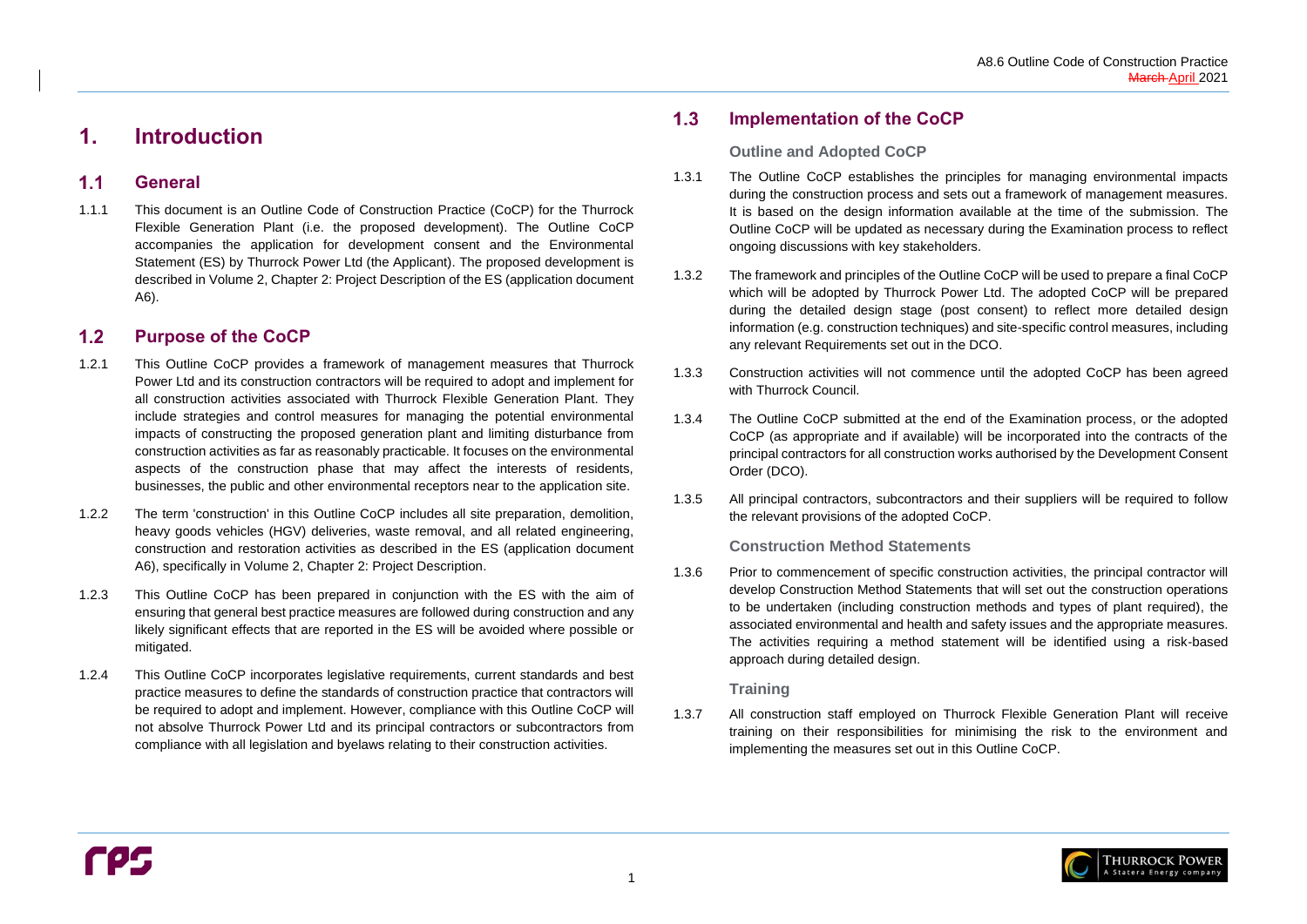

#### <span id="page-4-1"></span> $1.1$ **General**

# <span id="page-4-0"></span>**1. Introduction**

#### <span id="page-4-2"></span>**Purpose of the CoCP**  $1.2$

1.1.1 This document is an Outline Code of Construction Practice (CoCP) for the Thurrock Flexible Generation Plant (i.e. the proposed development). The Outline CoCP accompanies the application for development consent and the Environmental Statement (ES) by Thurrock Power Ltd (the Applicant). The proposed development is described in Volume 2, Chapter 2: Project Description of the ES (application document A6).

#### <span id="page-4-3"></span> $1.3$ **Implementation of the CoCP**

- 1.2.1 This Outline CoCP provides a framework of management measures that Thurrock Power Ltd and its construction contractors will be required to adopt and implement for all construction activities associated with Thurrock Flexible Generation Plant. They include strategies and control measures for managing the potential environmental impacts of constructing the proposed generation plant and limiting disturbance from construction activities as far as reasonably practicable. It focuses on the environmental aspects of the construction phase that may affect the interests of residents, businesses, the public and other environmental receptors near to the application site.
- 1.2.2 The term 'construction' in this Outline CoCP includes all site preparation, demolition, heavy goods vehicles (HGV) deliveries, waste removal, and all related engineering, construction and restoration activities as described in the ES (application document A6), specifically in Volume 2, Chapter 2: Project Description.
- 1.2.3 This Outline CoCP has been prepared in conjunction with the ES with the aim of ensuring that general best practice measures are followed during construction and any likely significant effects that are reported in the ES will be avoided where possible or mitigated.
- 1.2.4 This Outline CoCP incorporates legislative requirements, current standards and best practice measures to define the standards of construction practice that contractors will be required to adopt and implement. However, compliance with this Outline CoCP will not absolve Thurrock Power Ltd and its principal contractors or subcontractors from compliance with all legislation and byelaws relating to their construction activities.

### **Outline and Adopted CoCP**

- 1.3.1 The Outline CoCP establishes the principles for managing environmental impacts during the construction process and sets out a framework of management measures. It is based on the design information available at the time of the submission. The Outline CoCP will be updated as necessary during the Examination process to reflect ongoing discussions with key stakeholders.
- 1.3.2 The framework and principles of the Outline CoCP will be used to prepare a final CoCP which will be adopted by Thurrock Power Ltd. The adopted CoCP will be prepared during the detailed design stage (post consent) to reflect more detailed design information (e.g. construction techniques) and site-specific control measures, including any relevant Requirements set out in the DCO.
- 1.3.3 Construction activities will not commence until the adopted CoCP has been agreed with Thurrock Council.
- 1.3.4 The Outline CoCP submitted at the end of the Examination process, or the adopted CoCP (as appropriate and if available) will be incorporated into the contracts of the principal contractors for all construction works authorised by the Development Consent Order (DCO).
- 1.3.5 All principal contractors, subcontractors and their suppliers will be required to follow the relevant provisions of the adopted CoCP.

### **Construction Method Statements**

1.3.6 Prior to commencement of specific construction activities, the principal contractor will develop Construction Method Statements that will set out the construction operations to be undertaken (including construction methods and types of plant required), the associated environmental and health and safety issues and the appropriate measures. The activities requiring a method statement will be identified using a risk-based approach during detailed design.

### **Training**

1.3.7 All construction staff employed on Thurrock Flexible Generation Plant will receive training on their responsibilities for minimising the risk to the environment and implementing the measures set out in this Outline CoCP.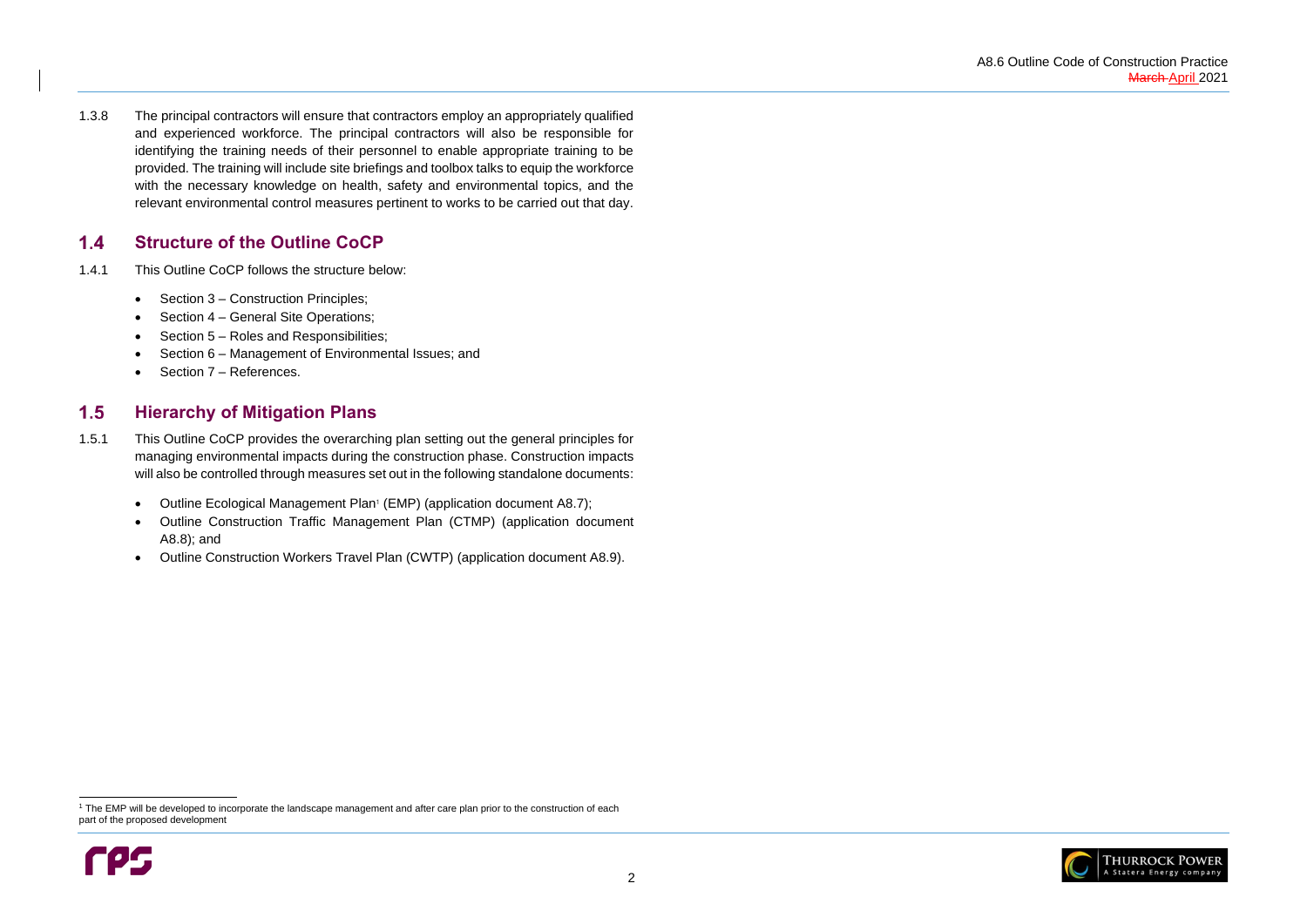

#### <span id="page-5-0"></span> $1.4$ **Structure of the Outline CoCP**

- 1.4.1 This Outline CoCP follows the structure below:
	- Section [3](#page-7-0) Construction Principles;
	- Section [4](#page-8-0) General Site Operations;
	- Section [5](#page-11-0) Roles and Responsibilities;
	- Section [6](#page-12-0) Management of Environmental Issues; and
	- Section [7](#page-22-0) References.

1.3.8 The principal contractors will ensure that contractors employ an appropriately qualified and experienced workforce. The principal contractors will also be responsible for identifying the training needs of their personnel to enable appropriate training to be provided. The training will include site briefings and toolbox talks to equip the workforce with the necessary knowledge on health, safety and environmental topics, and the relevant environmental control measures pertinent to works to be carried out that day.

#### <span id="page-5-1"></span> $1.5$ **Hierarchy of Mitigation Plans**

<sup>&</sup>lt;sup>1</sup> The EMP will be developed to incorporate the landscape management and after care plan prior to the construction of each part of the proposed development



- 1.5.1 This Outline CoCP provides the overarching plan setting out the general principles for managing environmental impacts during the construction phase. Construction impacts will also be controlled through measures set out in the following standalone documents:
	- Outline Ecological Management Plan<sup>1</sup> (EMP) (application document A8.7);
	- Outline Construction Traffic Management Plan (CTMP) (application document A8.8); and
	- Outline Construction Workers Travel Plan (CWTP) (application document A8.9).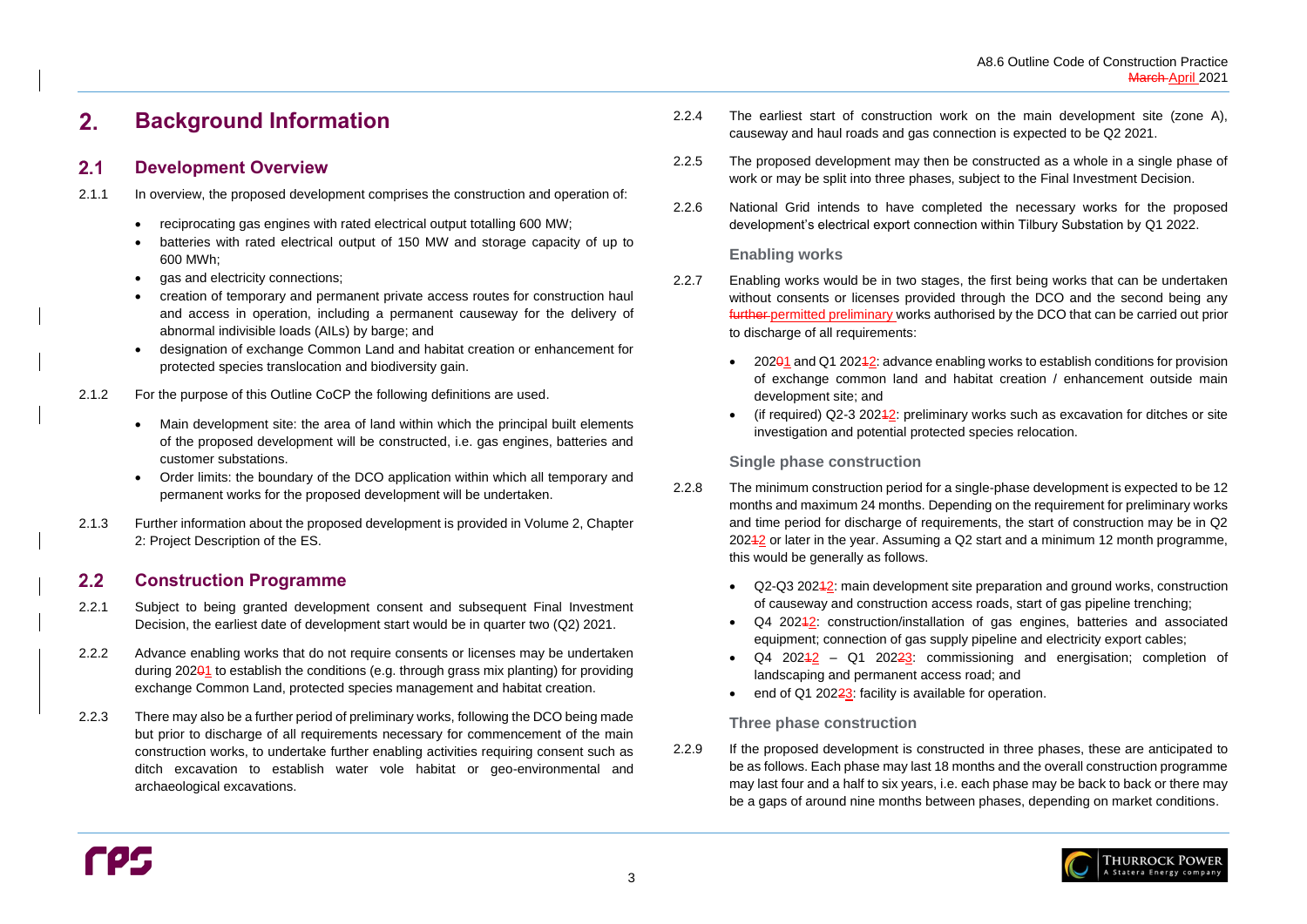#### <span id="page-6-0"></span> $2.$ **Background Information**

#### <span id="page-6-1"></span>**Development Overview**  $2.1$

#### <span id="page-6-2"></span>**Construction Programme**  $2.2$

- 2.1.1 In overview, the proposed development comprises the construction and operation of:
	- reciprocating gas engines with rated electrical output totalling 600 MW;
	- batteries with rated electrical output of 150 MW and storage capacity of up to 600 MWh;
	- gas and electricity connections;
	- creation of temporary and permanent private access routes for construction haul and access in operation, including a permanent causeway for the delivery of abnormal indivisible loads (AILs) by barge; and
	- designation of exchange Common Land and habitat creation or enhancement for protected species translocation and biodiversity gain.
- 2.1.2 For the purpose of this Outline CoCP the following definitions are used.
	- Main development site: the area of land within which the principal built elements of the proposed development will be constructed, i.e. gas engines, batteries and customer substations.
	- Order limits: the boundary of the DCO application within which all temporary and permanent works for the proposed development will be undertaken.
- 2.1.3 Further information about the proposed development is provided in Volume 2, Chapter 2: Project Description of the ES.
- 2.2.8 The minimum construction period for a single-phase development is expected to be 12 months and maximum 24 months. Depending on the requirement for preliminary works and time period for discharge of requirements, the start of construction may be in Q2 20242 or later in the year. Assuming a Q2 start and a minimum 12 month programme, this would be generally as follows.
	- Q2-Q3 20242: main development site preparation and ground works, construction of causeway and construction access roads, start of gas pipeline trenching;
	- equipment; connection of gas supply pipeline and electricity export cables;
	- landscaping and permanent access road; and
	- end of Q1 202 $\frac{23}{2}$ : facility is available for operation.
- 2.2.1 Subject to being granted development consent and subsequent Final Investment Decision, the earliest date of development start would be in quarter two (Q2) 2021.
- 2.2.2 Advance enabling works that do not require consents or licenses may be undertaken during 20201 to establish the conditions (e.g. through grass mix planting) for providing exchange Common Land, protected species management and habitat creation.
- 2.2.3 There may also be a further period of preliminary works, following the DCO being made but prior to discharge of all requirements necessary for commencement of the main construction works, to undertake further enabling activities requiring consent such as ditch excavation to establish water vole habitat or geo-environmental and archaeological excavations.
- 2.2.4 The earliest start of construction work on the main development site (zone A), causeway and haul roads and gas connection is expected to be Q2 2021.
- 2.2.5 The proposed development may then be constructed as a whole in a single phase of work or may be split into three phases, subject to the Final Investment Decision.
- 2.2.6 National Grid intends to have completed the necessary works for the proposed development's electrical export connection within Tilbury Substation by Q1 2022.

### **Enabling works**

- 2.2.7 Enabling works would be in two stages, the first being works that can be undertaken without consents or licenses provided through the DCO and the second being any further permitted preliminary works authorised by the DCO that can be carried out prior to discharge of all requirements:
	- 20201 and Q1 20242: advance enabling works to establish conditions for provision development site; and
	- investigation and potential protected species relocation.

of exchange common land and habitat creation / enhancement outside main

(if required)  $Q2-3$  20242: preliminary works such as excavation for ditches or site

 $Q4$  2024 $2$ : construction/installation of gas engines, batteries and associated

 $Q4$  202 $42$  –  $Q1$  202 $23$ : commissioning and energisation; completion of



## **Single phase construction**

## **Three phase construction**

2.2.9 If the proposed development is constructed in three phases, these are anticipated to be as follows. Each phase may last 18 months and the overall construction programme may last four and a half to six years, i.e. each phase may be back to back or there may be a gaps of around nine months between phases, depending on market conditions.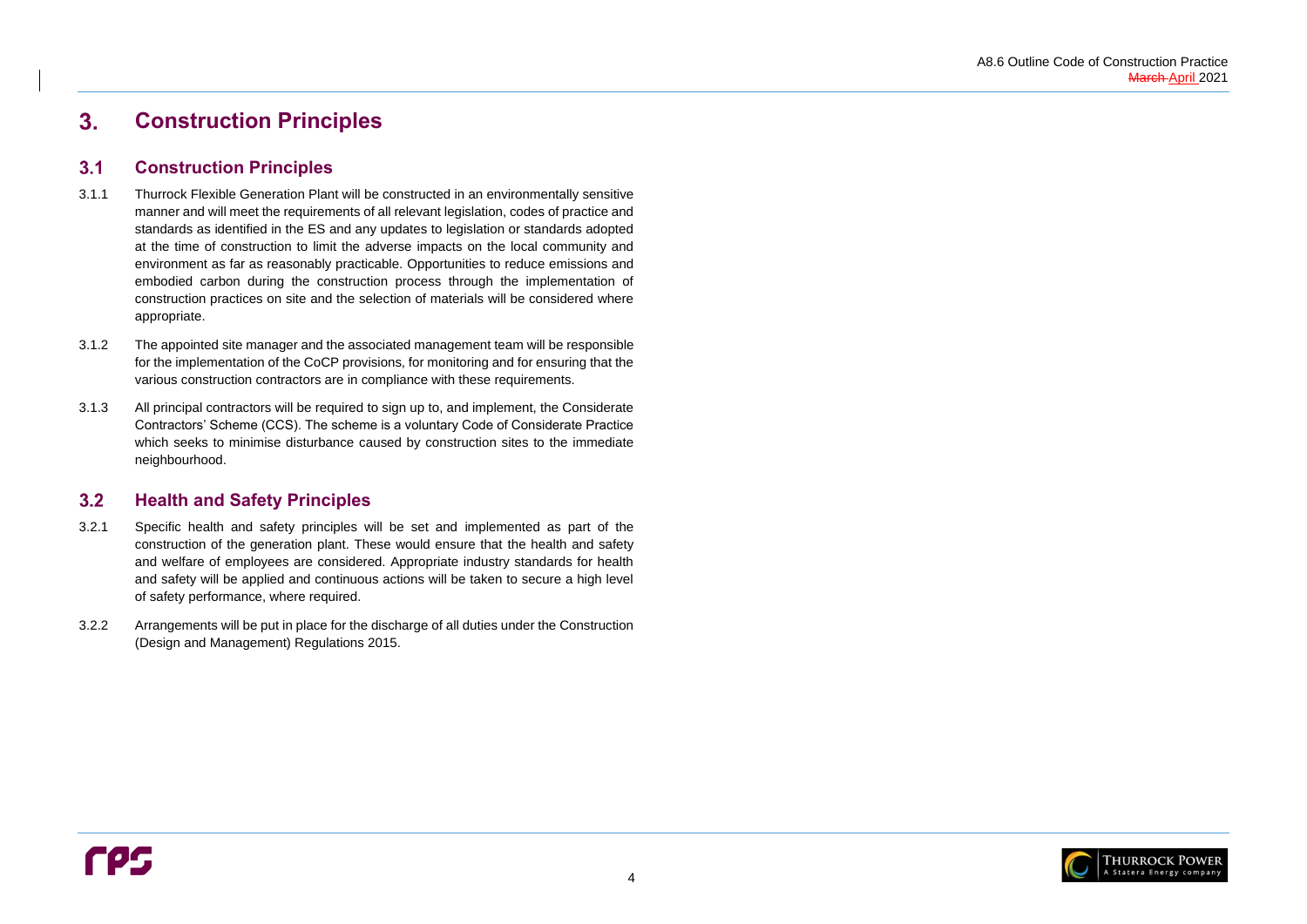

#### <span id="page-7-0"></span> $3.$ **Construction Principles**

#### <span id="page-7-1"></span>**Construction Principles**  $3.1$

#### <span id="page-7-2"></span> $3.2$ **Health and Safety Principles**

- 3.1.1 Thurrock Flexible Generation Plant will be constructed in an environmentally sensitive manner and will meet the requirements of all relevant legislation, codes of practice and standards as identified in the ES and any updates to legislation or standards adopted at the time of construction to limit the adverse impacts on the local community and environment as far as reasonably practicable. Opportunities to reduce emissions and embodied carbon during the construction process through the implementation of construction practices on site and the selection of materials will be considered where appropriate.
- 3.1.2 The appointed site manager and the associated management team will be responsible for the implementation of the CoCP provisions, for monitoring and for ensuring that the various construction contractors are in compliance with these requirements.
- 3.1.3 All principal contractors will be required to sign up to, and implement, the Considerate Contractors' Scheme (CCS). The scheme is a voluntary Code of Considerate Practice which seeks to minimise disturbance caused by construction sites to the immediate neighbourhood.

- 3.2.1 Specific health and safety principles will be set and implemented as part of the construction of the generation plant. These would ensure that the health and safety and welfare of employees are considered. Appropriate industry standards for health and safety will be applied and continuous actions will be taken to secure a high level of safety performance, where required.
- 3.2.2 Arrangements will be put in place for the discharge of all duties under the Construction (Design and Management) Regulations 2015.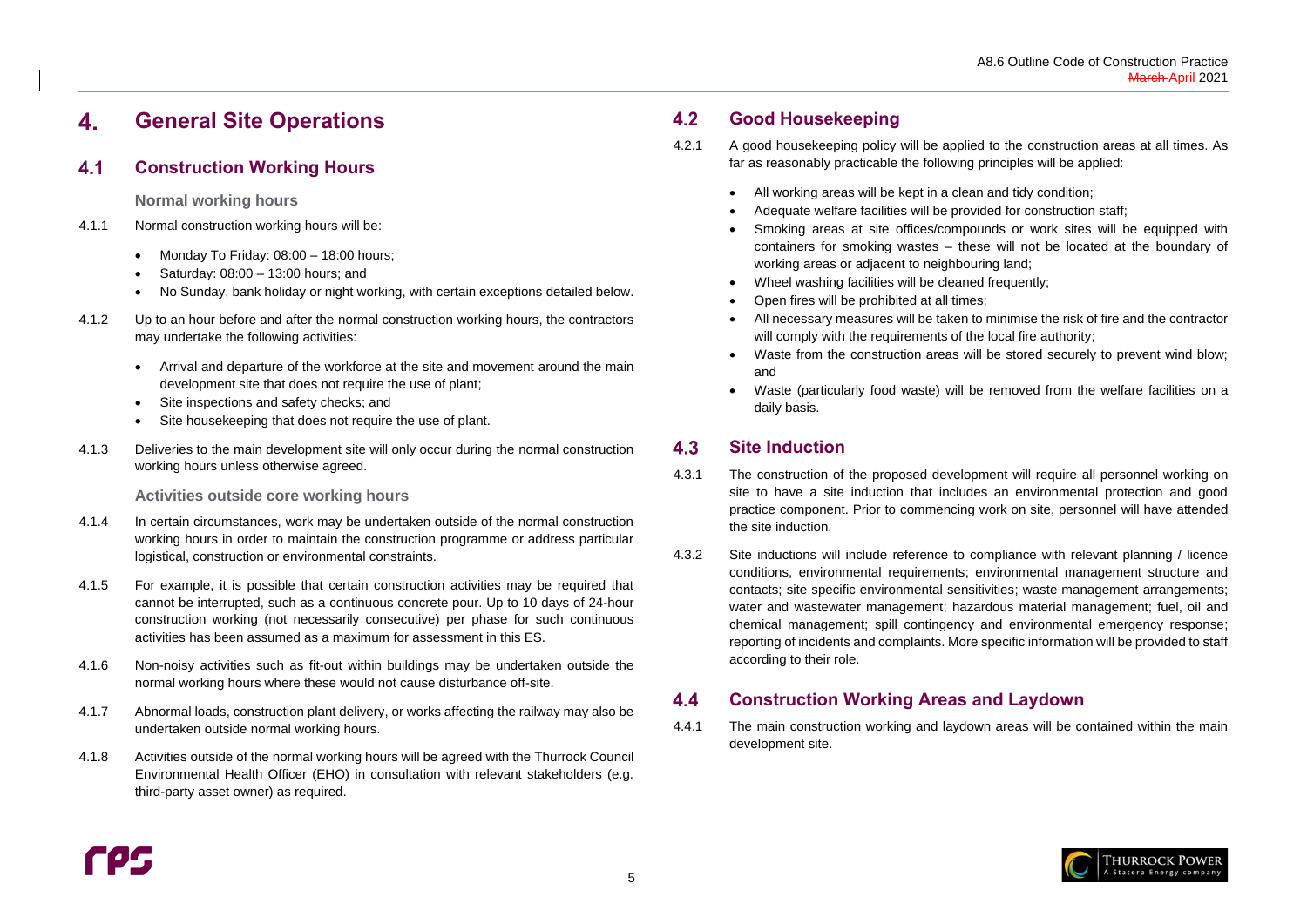#### <span id="page-8-0"></span>**General Site Operations**  4.

#### <span id="page-8-1"></span>**Construction Working Hours**  $4.1$

**Normal working hours** 

- 4.1.1 Normal construction working hours will be:
	- Monday To Friday: 08:00 18:00 hours;
	- Saturday: 08:00 13:00 hours; and
	- No Sunday, bank holiday or night working, with certain exceptions detailed below.
- 4.1.2 Up to an hour before and after the normal construction working hours, the contractors may undertake the following activities:
	- Arrival and departure of the workforce at the site and movement around the main development site that does not require the use of plant;
	- Site inspections and safety checks; and
	- Site housekeeping that does not require the use of plant.
- 4.1.3 Deliveries to the main development site will only occur during the normal construction working hours unless otherwise agreed.

**Activities outside core working hours**

#### <span id="page-8-2"></span> $4.2$ **Good Housekeeping**

- 4.1.4 In certain circumstances, work may be undertaken outside of the normal construction working hours in order to maintain the construction programme or address particular logistical, construction or environmental constraints.
- 4.1.5 For example, it is possible that certain construction activities may be required that cannot be interrupted, such as a continuous concrete pour. Up to 10 days of 24-hour construction working (not necessarily consecutive) per phase for such continuous activities has been assumed as a maximum for assessment in this ES.
- 4.1.6 Non-noisy activities such as fit-out within buildings may be undertaken outside the normal working hours where these would not cause disturbance off-site.
- 4.1.7 Abnormal loads, construction plant delivery, or works affecting the railway may also be undertaken outside normal working hours.
- 4.1.8 Activities outside of the normal working hours will be agreed with the Thurrock Council Environmental Health Officer (EHO) in consultation with relevant stakeholders (e.g. third-party asset owner) as required.

#### <span id="page-8-3"></span> $4.3$ **Site Induction**

#### <span id="page-8-4"></span>**Construction Working Areas and Laydown** 4.4

- 4.2.1 A good housekeeping policy will be applied to the construction areas at all times. As far as reasonably practicable the following principles will be applied:
	- All working areas will be kept in a clean and tidy condition;
	- Adequate welfare facilities will be provided for construction staff;
	- Smoking areas at site offices/compounds or work sites will be equipped with containers for smoking wastes – these will not be located at the boundary of working areas or adjacent to neighbouring land;
	- Wheel washing facilities will be cleaned frequently;
	- Open fires will be prohibited at all times;
	- All necessary measures will be taken to minimise the risk of fire and the contractor will comply with the requirements of the local fire authority;
	- Waste from the construction areas will be stored securely to prevent wind blow; and
	- daily basis.

• Waste (particularly food waste) will be removed from the welfare facilities on a



- 4.3.1 The construction of the proposed development will require all personnel working on site to have a site induction that includes an environmental protection and good practice component. Prior to commencing work on site, personnel will have attended the site induction.
- 4.3.2 Site inductions will include reference to compliance with relevant planning / licence conditions, environmental requirements; environmental management structure and contacts; site specific environmental sensitivities; waste management arrangements; water and wastewater management; hazardous material management; fuel, oil and chemical management; spill contingency and environmental emergency response; reporting of incidents and complaints. More specific information will be provided to staff according to their role.

4.4.1 The main construction working and laydown areas will be contained within the main development site.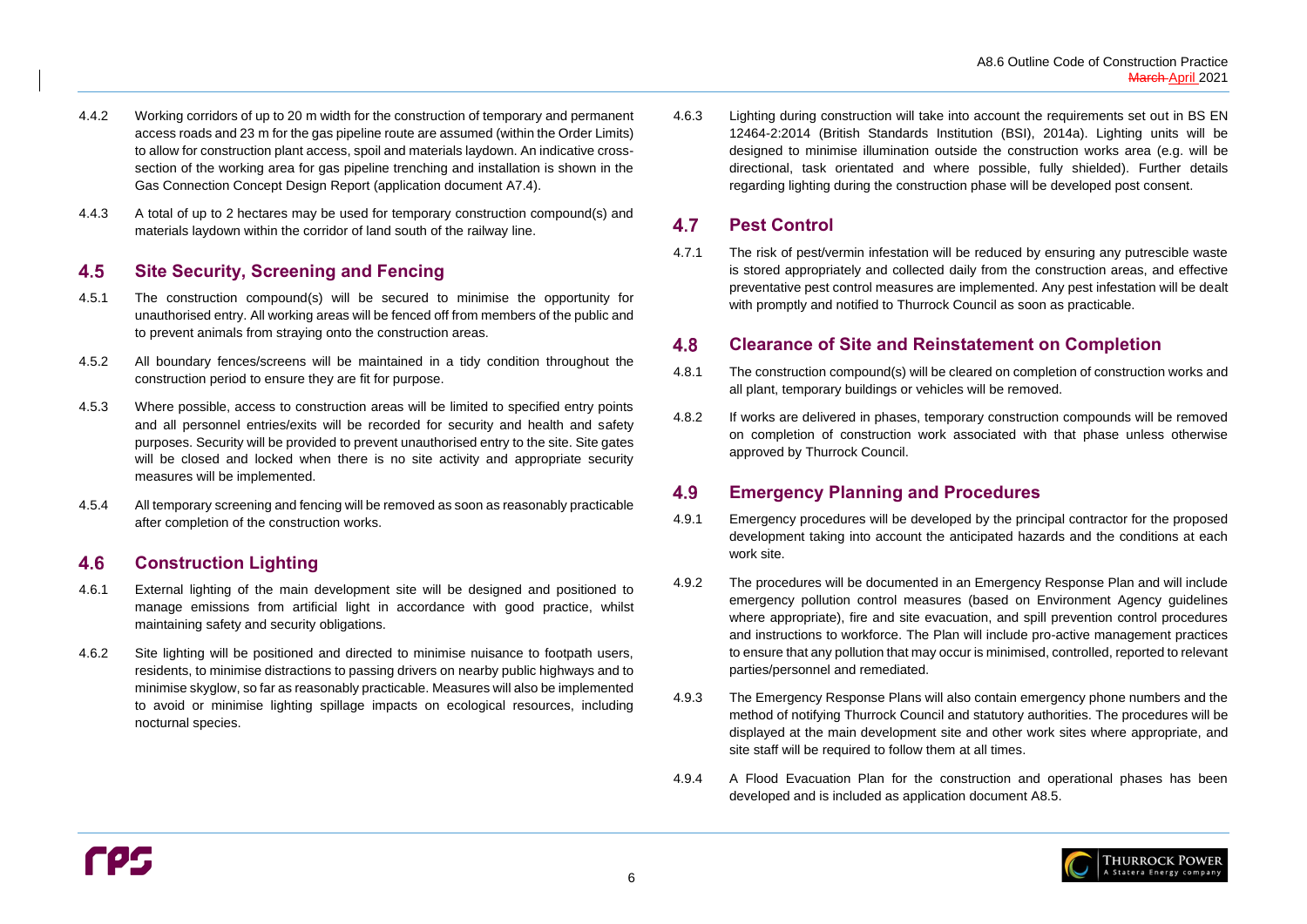

#### <span id="page-9-0"></span>4.5 **Site Security, Screening and Fencing**

- 4.4.2 Working corridors of up to 20 m width for the construction of temporary and permanent access roads and 23 m for the gas pipeline route are assumed (within the Order Limits) to allow for construction plant access, spoil and materials laydown. An indicative crosssection of the working area for gas pipeline trenching and installation is shown in the Gas Connection Concept Design Report (application document A7.4).
- 4.4.3 A total of up to 2 hectares may be used for temporary construction compound(s) and materials laydown within the corridor of land south of the railway line.

#### <span id="page-9-1"></span>**Construction Lighting** 4.6

- 4.5.1 The construction compound(s) will be secured to minimise the opportunity for unauthorised entry. All working areas will be fenced off from members of the public and to prevent animals from straying onto the construction areas.
- 4.5.2 All boundary fences/screens will be maintained in a tidy condition throughout the construction period to ensure they are fit for purpose.
- 4.5.3 Where possible, access to construction areas will be limited to specified entry points and all personnel entries/exits will be recorded for security and health and safety purposes. Security will be provided to prevent unauthorised entry to the site. Site gates will be closed and locked when there is no site activity and appropriate security measures will be implemented.
- 4.5.4 All temporary screening and fencing will be removed as soon as reasonably practicable after completion of the construction works.

#### <span id="page-9-2"></span>4.7 **Pest Control**

#### <span id="page-9-3"></span>4.8 **Clearance of Site and Reinstatement on Completion**

#### <span id="page-9-4"></span>4.9 **Emergency Planning and Procedures**

- 4.6.1 External lighting of the main development site will be designed and positioned to manage emissions from artificial light in accordance with good practice, whilst maintaining safety and security obligations.
- 4.6.2 Site lighting will be positioned and directed to minimise nuisance to footpath users, residents, to minimise distractions to passing drivers on nearby public highways and to minimise skyglow, so far as reasonably practicable. Measures will also be implemented to avoid or minimise lighting spillage impacts on ecological resources, including nocturnal species.

4.6.3 Lighting during construction will take into account the requirements set out in BS EN 12464-2:2014 (British Standards Institution (BSI), 2014a). Lighting units will be designed to minimise illumination outside the construction works area (e.g. will be directional, task orientated and where possible, fully shielded). Further details regarding lighting during the construction phase will be developed post consent.

4.7.1 The risk of pest/vermin infestation will be reduced by ensuring any putrescible waste is stored appropriately and collected daily from the construction areas, and effective preventative pest control measures are implemented. Any pest infestation will be dealt with promptly and notified to Thurrock Council as soon as practicable.

- 4.8.1 The construction compound(s) will be cleared on completion of construction works and all plant, temporary buildings or vehicles will be removed.
- 4.8.2 If works are delivered in phases, temporary construction compounds will be removed on completion of construction work associated with that phase unless otherwise approved by Thurrock Council.

- 4.9.1 Emergency procedures will be developed by the principal contractor for the proposed development taking into account the anticipated hazards and the conditions at each work site.
- 4.9.2 The procedures will be documented in an Emergency Response Plan and will include emergency pollution control measures (based on Environment Agency guidelines where appropriate), fire and site evacuation, and spill prevention control procedures and instructions to workforce. The Plan will include pro-active management practices to ensure that any pollution that may occur is minimised, controlled, reported to relevant parties/personnel and remediated.
- 4.9.3 The Emergency Response Plans will also contain emergency phone numbers and the method of notifying Thurrock Council and statutory authorities. The procedures will be displayed at the main development site and other work sites where appropriate, and site staff will be required to follow them at all times.
- 4.9.4 A Flood Evacuation Plan for the construction and operational phases has been developed and is included as application document A8.5.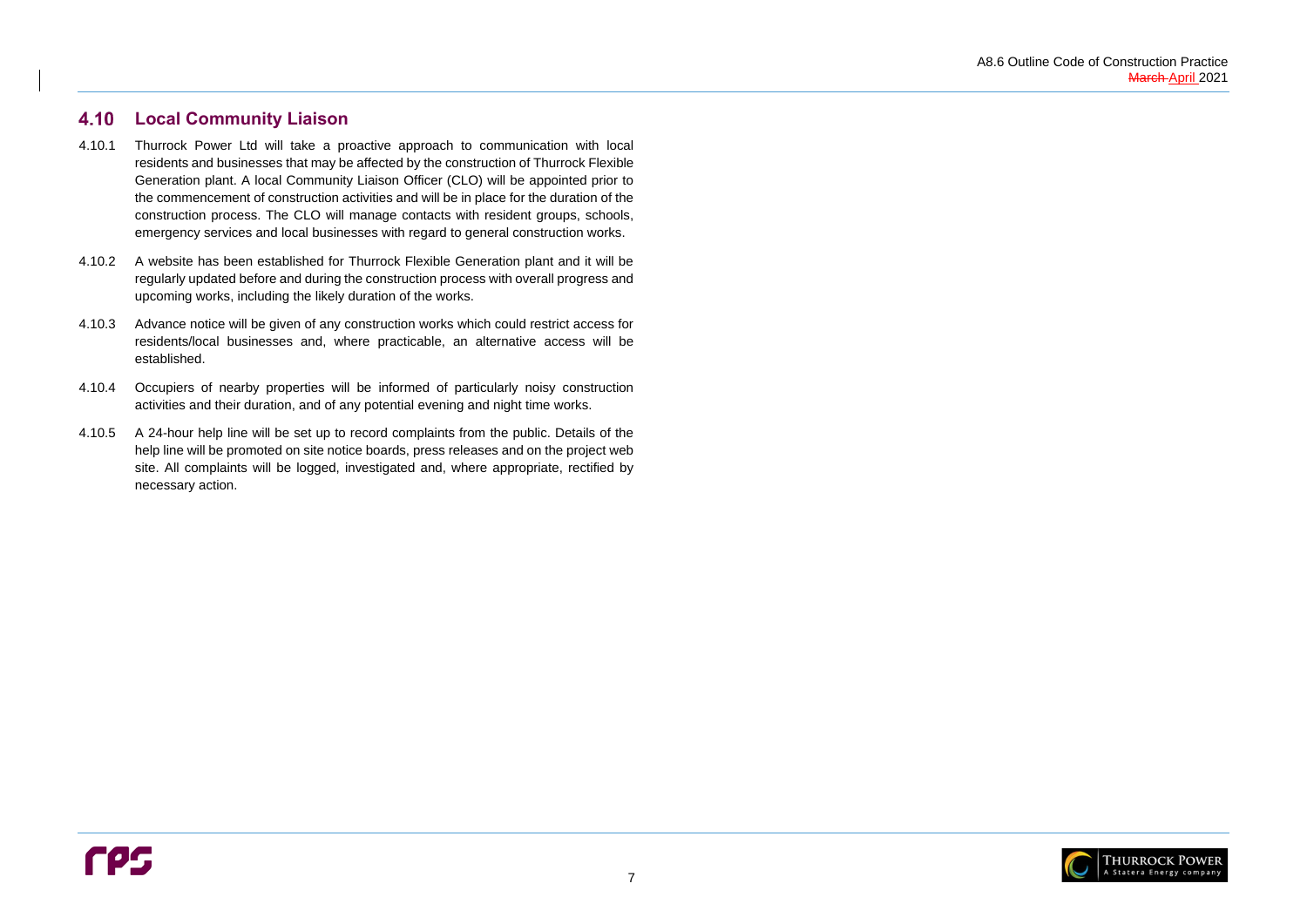

#### <span id="page-10-0"></span>4.10 **Local Community Liaison**

- 4.10.1 Thurrock Power Ltd will take a proactive approach to communication with local residents and businesses that may be affected by the construction of Thurrock Flexible Generation plant. A local Community Liaison Officer (CLO) will be appointed prior to the commencement of construction activities and will be in place for the duration of the construction process. The CLO will manage contacts with resident groups, schools, emergency services and local businesses with regard to general construction works.
- 4.10.2 A website has been established for Thurrock Flexible Generation plant and it will be regularly updated before and during the construction process with overall progress and upcoming works, including the likely duration of the works.
- 4.10.3 Advance notice will be given of any construction works which could restrict access for residents/local businesses and, where practicable, an alternative access will be established.
- 4.10.4 Occupiers of nearby properties will be informed of particularly noisy construction activities and their duration, and of any potential evening and night time works.
- 4.10.5 A 24-hour help line will be set up to record complaints from the public. Details of the help line will be promoted on site notice boards, press releases and on the project web site. All complaints will be logged, investigated and, where appropriate, rectified by necessary action.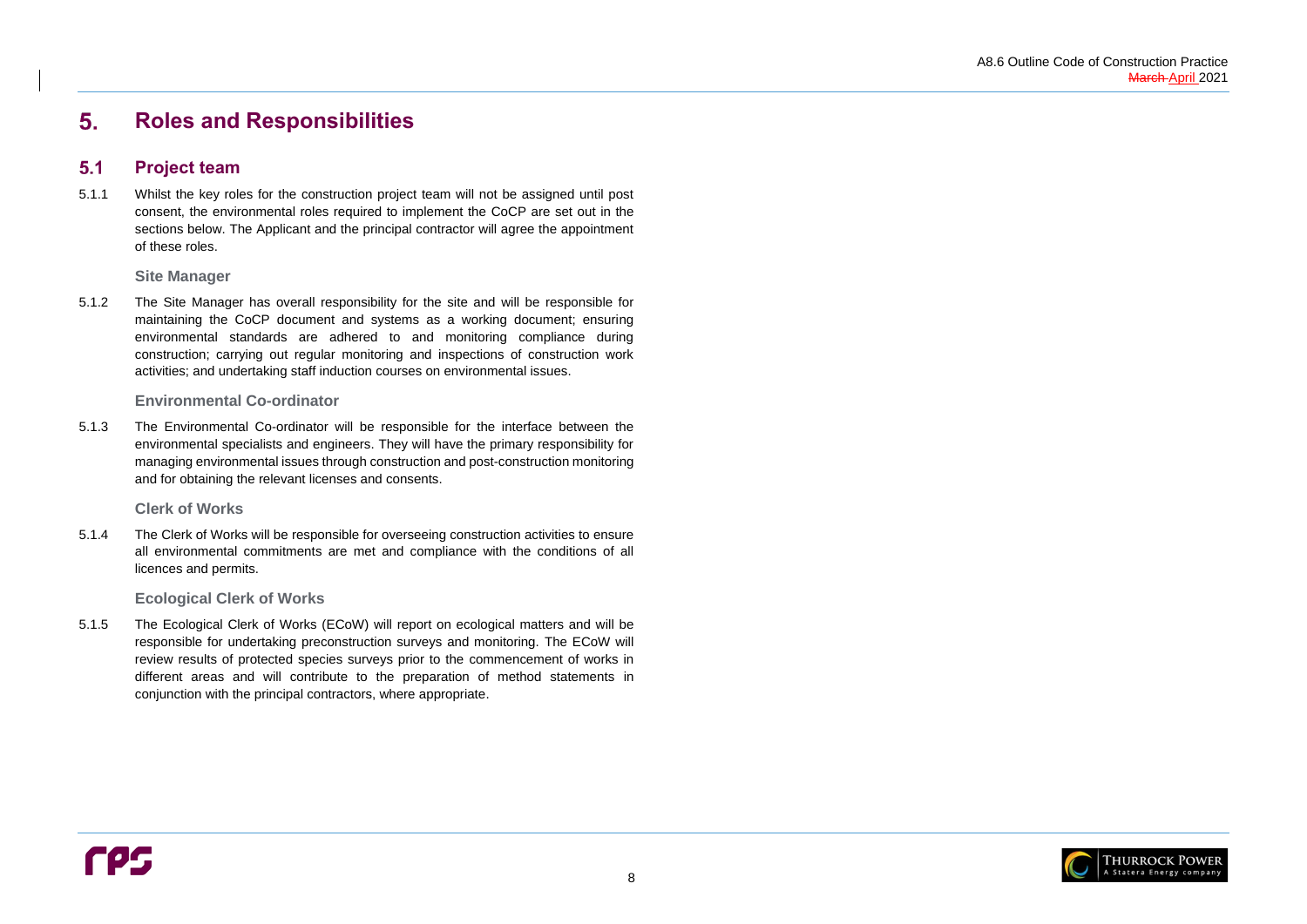

#### <span id="page-11-0"></span>5. **Roles and Responsibilities**

#### <span id="page-11-1"></span>**Project team**  $5.1$

5.1.1 Whilst the key roles for the construction project team will not be assigned until post consent, the environmental roles required to implement the CoCP are set out in the sections below. The Applicant and the principal contractor will agree the appointment of these roles.

**Site Manager**

5.1.2 The Site Manager has overall responsibility for the site and will be responsible for maintaining the CoCP document and systems as a working document; ensuring environmental standards are adhered to and monitoring compliance during construction; carrying out regular monitoring and inspections of construction work activities; and undertaking staff induction courses on environmental issues.

### **Environmental Co-ordinator**

5.1.3 The Environmental Co-ordinator will be responsible for the interface between the environmental specialists and engineers. They will have the primary responsibility for managing environmental issues through construction and post-construction monitoring and for obtaining the relevant licenses and consents.

**Clerk of Works**

5.1.4 The Clerk of Works will be responsible for overseeing construction activities to ensure all environmental commitments are met and compliance with the conditions of all licences and permits.

**Ecological Clerk of Works**

5.1.5 The Ecological Clerk of Works (ECoW) will report on ecological matters and will be responsible for undertaking preconstruction surveys and monitoring. The ECoW will review results of protected species surveys prior to the commencement of works in different areas and will contribute to the preparation of method statements in conjunction with the principal contractors, where appropriate.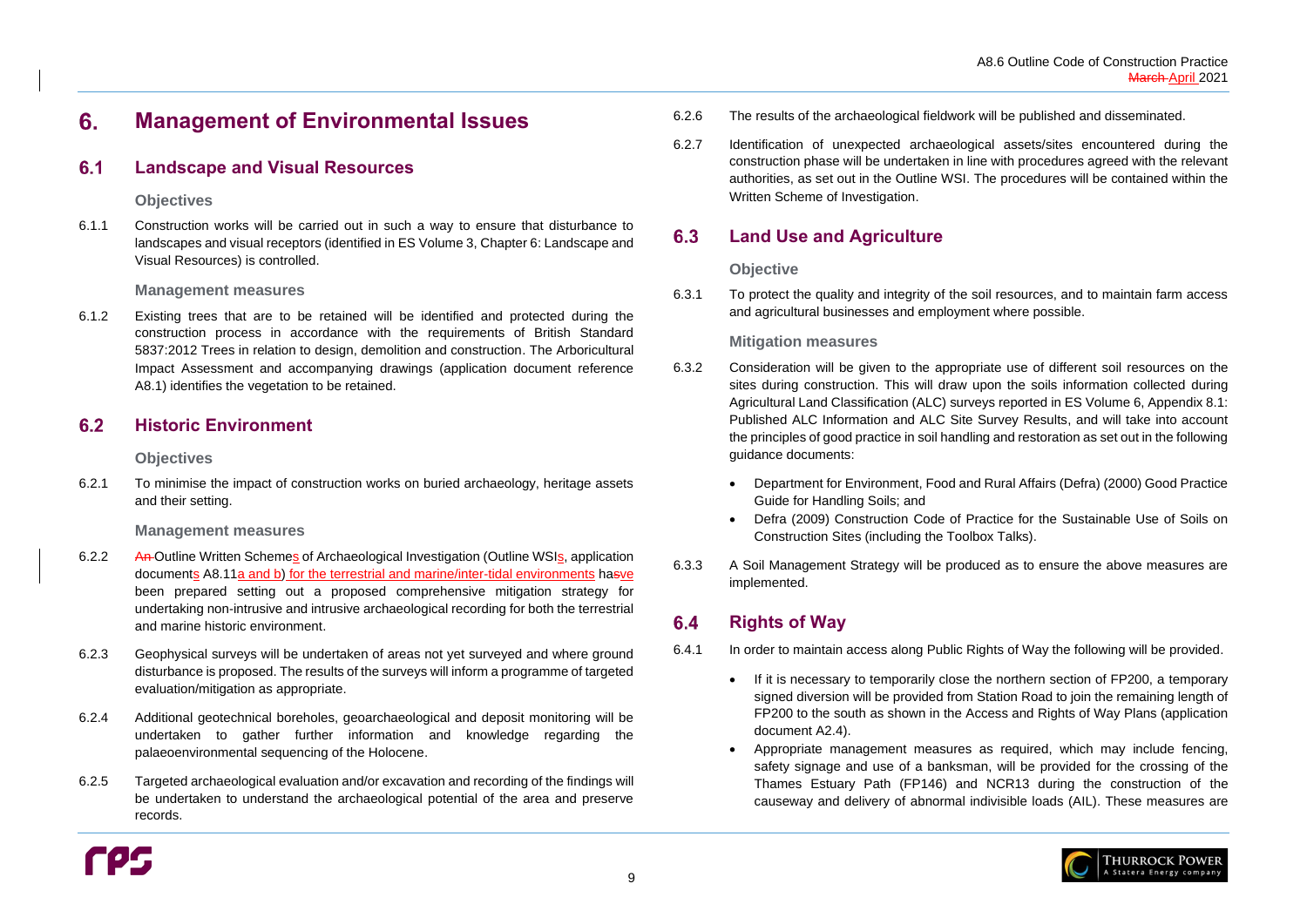#### <span id="page-12-0"></span>6. **Management of Environmental Issues**

#### <span id="page-12-1"></span> $6.1$ **Landscape and Visual Resources**

### **Objectives**

6.1.1 Construction works will be carried out in such a way to ensure that disturbance to landscapes and visual receptors (identified in ES Volume 3, Chapter 6: Landscape and Visual Resources) is controlled.

### **Management measures**

#### <span id="page-12-2"></span> $6.2$ **Historic Environment**

6.1.2 Existing trees that are to be retained will be identified and protected during the construction process in accordance with the requirements of British Standard 5837:2012 Trees in relation to design, demolition and construction. The Arboricultural Impact Assessment and accompanying drawings (application document reference A8.1) identifies the vegetation to be retained.

### **Objectives**

6.2.1 To minimise the impact of construction works on buried archaeology, heritage assets and their setting.

### **Management measures**

- 6.2.2 An-Outline Written Schemes of Archaeological Investigation (Outline WSIs, application documents A8.11a and b) for the terrestrial and marine/inter-tidal environments hasve been prepared setting out a proposed comprehensive mitigation strategy for undertaking non-intrusive and intrusive archaeological recording for both the terrestrial and marine historic environment.
- 6.2.3 Geophysical surveys will be undertaken of areas not yet surveyed and where ground disturbance is proposed. The results of the surveys will inform a programme of targeted evaluation/mitigation as appropriate.
- 6.2.4 Additional geotechnical boreholes, geoarchaeological and deposit monitoring will be undertaken to gather further information and knowledge regarding the palaeoenvironmental sequencing of the Holocene.
- 6.2.5 Targeted archaeological evaluation and/or excavation and recording of the findings will be undertaken to understand the archaeological potential of the area and preserve records.



#### <span id="page-12-3"></span>6.3 **Land Use and Agriculture**

#### <span id="page-12-4"></span>**Rights of Way**  $6.4$

- 6.2.6 The results of the archaeological fieldwork will be published and disseminated.
- 6.2.7 Identification of unexpected archaeological assets/sites encountered during the construction phase will be undertaken in line with procedures agreed with the relevant authorities, as set out in the Outline WSI. The procedures will be contained within the Written Scheme of Investigation.

### **Objective**

6.3.1 To protect the quality and integrity of the soil resources, and to maintain farm access and agricultural businesses and employment where possible.

### **Mitigation measures**

- 6.3.2 Consideration will be given to the appropriate use of different soil resources on the sites during construction. This will draw upon the soils information collected during Agricultural Land Classification (ALC) surveys reported in ES Volume 6, Appendix 8.1: Published ALC Information and ALC Site Survey Results, and will take into account the principles of good practice in soil handling and restoration as set out in the following guidance documents:
	- Guide for Handling Soils; and
	- Construction Sites (including the Toolbox Talks).
- 6.3.3 A Soil Management Strategy will be produced as to ensure the above measures are implemented.

• Department for Environment, Food and Rural Affairs (Defra) (2000) Good Practice

• Defra (2009) Construction Code of Practice for the Sustainable Use of Soils on

- 6.4.1 In order to maintain access along Public Rights of Way the following will be provided.
	- If it is necessary to temporarily close the northern section of FP200, a temporary document A2.4).
	-

signed diversion will be provided from Station Road to join the remaining length of FP200 to the south as shown in the Access and Rights of Way Plans (application

• Appropriate management measures as required, which may include fencing, safety signage and use of a banksman, will be provided for the crossing of the Thames Estuary Path (FP146) and NCR13 during the construction of the causeway and delivery of abnormal indivisible loads (AIL). These measures are

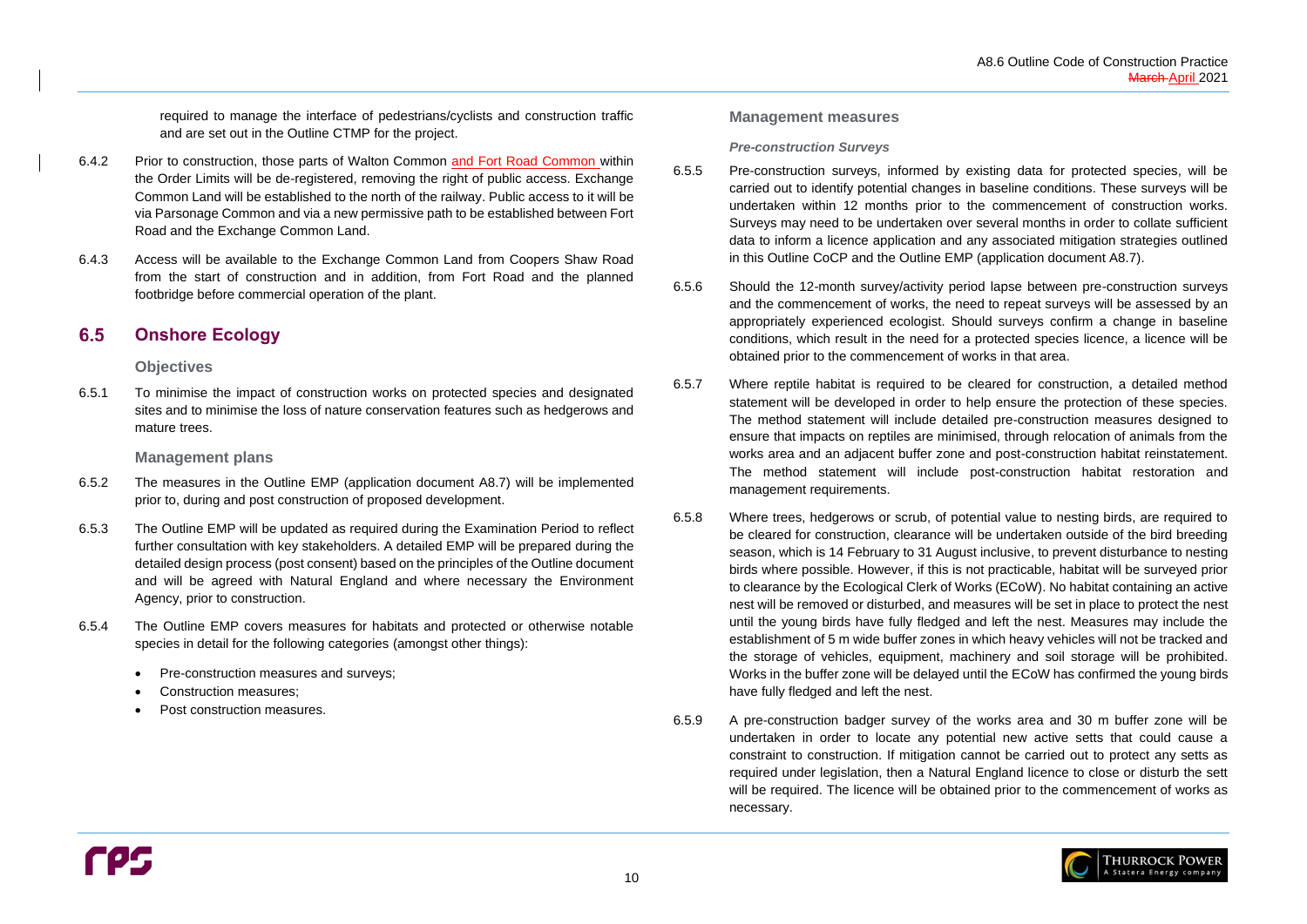

required to manage the interface of pedestrians/cyclists and construction traffic and are set out in the Outline CTMP for the project.

- 6.4.2 Prior to construction, those parts of Walton Common and Fort Road Common within the Order Limits will be de-registered, removing the right of public access. Exchange Common Land will be established to the north of the railway. Public access to it will be via Parsonage Common and via a new permissive path to be established between Fort Road and the Exchange Common Land.
- 6.4.3 Access will be available to the Exchange Common Land from Coopers Shaw Road from the start of construction and in addition, from Fort Road and the planned footbridge before commercial operation of the plant.

#### <span id="page-13-0"></span> $6.5$ **Onshore Ecology**

- 6.5.2 The measures in the Outline EMP (application document A8.7) will be implemented prior to, during and post construction of proposed development.
- 6.5.3 The Outline EMP will be updated as required during the Examination Period to reflect further consultation with key stakeholders. A detailed EMP will be prepared during the detailed design process (post consent) based on the principles of the Outline document and will be agreed with Natural England and where necessary the Environment Agency, prior to construction.
- 6.5.4 The Outline EMP covers measures for habitats and protected or otherwise notable species in detail for the following categories (amongst other things):
	- Pre-construction measures and surveys;
	- Construction measures;
	- Post construction measures.

### **Objectives**

6.5.1 To minimise the impact of construction works on protected species and designated sites and to minimise the loss of nature conservation features such as hedgerows and mature trees.

### **Management plans**

### **Management measures**

### *Pre-construction Surveys*

- 6.5.5 Pre-construction surveys, informed by existing data for protected species, will be carried out to identify potential changes in baseline conditions. These surveys will be undertaken within 12 months prior to the commencement of construction works. Surveys may need to be undertaken over several months in order to collate sufficient data to inform a licence application and any associated mitigation strategies outlined in this Outline CoCP and the Outline EMP (application document A8.7).
- 6.5.6 Should the 12-month survey/activity period lapse between pre-construction surveys and the commencement of works, the need to repeat surveys will be assessed by an appropriately experienced ecologist. Should surveys confirm a change in baseline conditions, which result in the need for a protected species licence, a licence will be obtained prior to the commencement of works in that area.
- 6.5.7 Where reptile habitat is required to be cleared for construction, a detailed method statement will be developed in order to help ensure the protection of these species. The method statement will include detailed pre-construction measures designed to ensure that impacts on reptiles are minimised, through relocation of animals from the works area and an adjacent buffer zone and post-construction habitat reinstatement. The method statement will include post-construction habitat restoration and management requirements.
- 6.5.8 Where trees, hedgerows or scrub, of potential value to nesting birds, are required to be cleared for construction, clearance will be undertaken outside of the bird breeding season, which is 14 February to 31 August inclusive, to prevent disturbance to nesting birds where possible. However, if this is not practicable, habitat will be surveyed prior to clearance by the Ecological Clerk of Works (ECoW). No habitat containing an active nest will be removed or disturbed, and measures will be set in place to protect the nest until the young birds have fully fledged and left the nest. Measures may include the establishment of 5 m wide buffer zones in which heavy vehicles will not be tracked and the storage of vehicles, equipment, machinery and soil storage will be prohibited. Works in the buffer zone will be delayed until the ECoW has confirmed the young birds have fully fledged and left the nest.
- 6.5.9 A pre-construction badger survey of the works area and 30 m buffer zone will be undertaken in order to locate any potential new active setts that could cause a constraint to construction. If mitigation cannot be carried out to protect any setts as required under legislation, then a Natural England licence to close or disturb the sett will be required. The licence will be obtained prior to the commencement of works as necessary.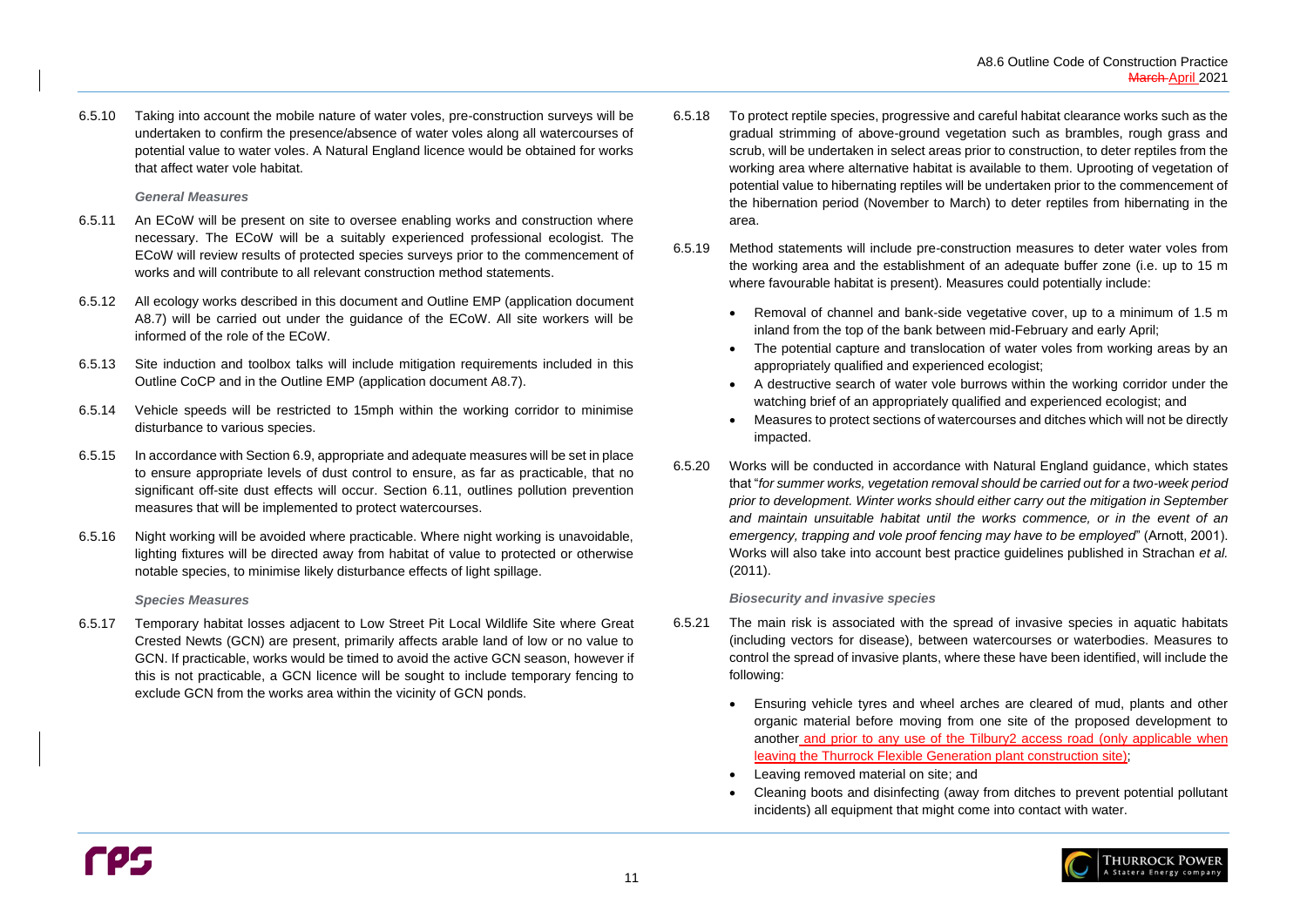6.5.10 Taking into account the mobile nature of water voles, pre-construction surveys will be undertaken to confirm the presence/absence of water voles along all watercourses of potential value to water voles. A Natural England licence would be obtained for works that affect water vole habitat.

### *General Measures*

- 6.5.11 An ECoW will be present on site to oversee enabling works and construction where necessary. The ECoW will be a suitably experienced professional ecologist. The ECoW will review results of protected species surveys prior to the commencement of works and will contribute to all relevant construction method statements.
- 6.5.12 All ecology works described in this document and Outline EMP (application document A8.7) will be carried out under the guidance of the ECoW. All site workers will be informed of the role of the ECoW.
- 6.5.13 Site induction and toolbox talks will include mitigation requirements included in this Outline CoCP and in the Outline EMP (application document A8.7).
- 6.5.14 Vehicle speeds will be restricted to 15mph within the working corridor to minimise disturbance to various species.
- 6.5.15 In accordance with Sectio[n 6.9,](#page-17-0) appropriate and adequate measures will be set in place to ensure appropriate levels of dust control to ensure, as far as practicable, that no significant off-site dust effects will occur. Section [6.11,](#page-19-1) outlines pollution prevention measures that will be implemented to protect watercourses.
- 6.5.16 Night working will be avoided where practicable. Where night working is unavoidable, lighting fixtures will be directed away from habitat of value to protected or otherwise notable species, to minimise likely disturbance effects of light spillage.

#### *Species Measures*

6.5.17 Temporary habitat losses adjacent to Low Street Pit Local Wildlife Site where Great Crested Newts (GCN) are present, primarily affects arable land of low or no value to GCN. If practicable, works would be timed to avoid the active GCN season, however if this is not practicable, a GCN licence will be sought to include temporary fencing to exclude GCN from the works area within the vicinity of GCN ponds.

- 6.5.18 To protect reptile species, progressive and careful habitat clearance works such as the gradual strimming of above-ground vegetation such as brambles, rough grass and scrub, will be undertaken in select areas prior to construction, to deter reptiles from the working area where alternative habitat is available to them. Uprooting of vegetation of potential value to hibernating reptiles will be undertaken prior to the commencement of the hibernation period (November to March) to deter reptiles from hibernating in the area.
- 6.5.19 Method statements will include pre-construction measures to deter water voles from the working area and the establishment of an adequate buffer zone (i.e. up to 15 m where favourable habitat is present). Measures could potentially include:
	- Removal of channel and bank-side vegetative cover, up to a minimum of 1.5 m inland from the top of the bank between mid-February and early April;
	- The potential capture and translocation of water voles from working areas by an appropriately qualified and experienced ecologist;
	- A destructive search of water vole burrows within the working corridor under the watching brief of an appropriately qualified and experienced ecologist; and
	- Measures to protect sections of watercourses and ditches which will not be directly impacted.
- 6.5.20 Works will be conducted in accordance with Natural England guidance, which states that "*for summer works, vegetation removal should be carried out for a two-week period prior to development. Winter works should either carry out the mitigation in September and maintain unsuitable habitat until the works commence, or in the event of an emergency, trapping and vole proof fencing may have to be employed*" (Arnott, 2001). Works will also take into account best practice guidelines published in Strachan *et al.* (2011).

### *Biosecurity and invasive species*

- <span id="page-14-0"></span>6.5.21 The main risk is associated with the spread of invasive species in aquatic habitats (including vectors for disease), between watercourses or waterbodies. Measures to control the spread of invasive plants, where these have been identified, will include the following:
	- leaving the Thurrock Flexible Generation plant construction site);
	- Leaving removed material on site; and
	- incidents) all equipment that might come into contact with water.

• Ensuring vehicle tyres and wheel arches are cleared of mud, plants and other organic material before moving from one site of the proposed development to another and prior to any use of the Tilbury2 access road (only applicable when

• Cleaning boots and disinfecting (away from ditches to prevent potential pollutant

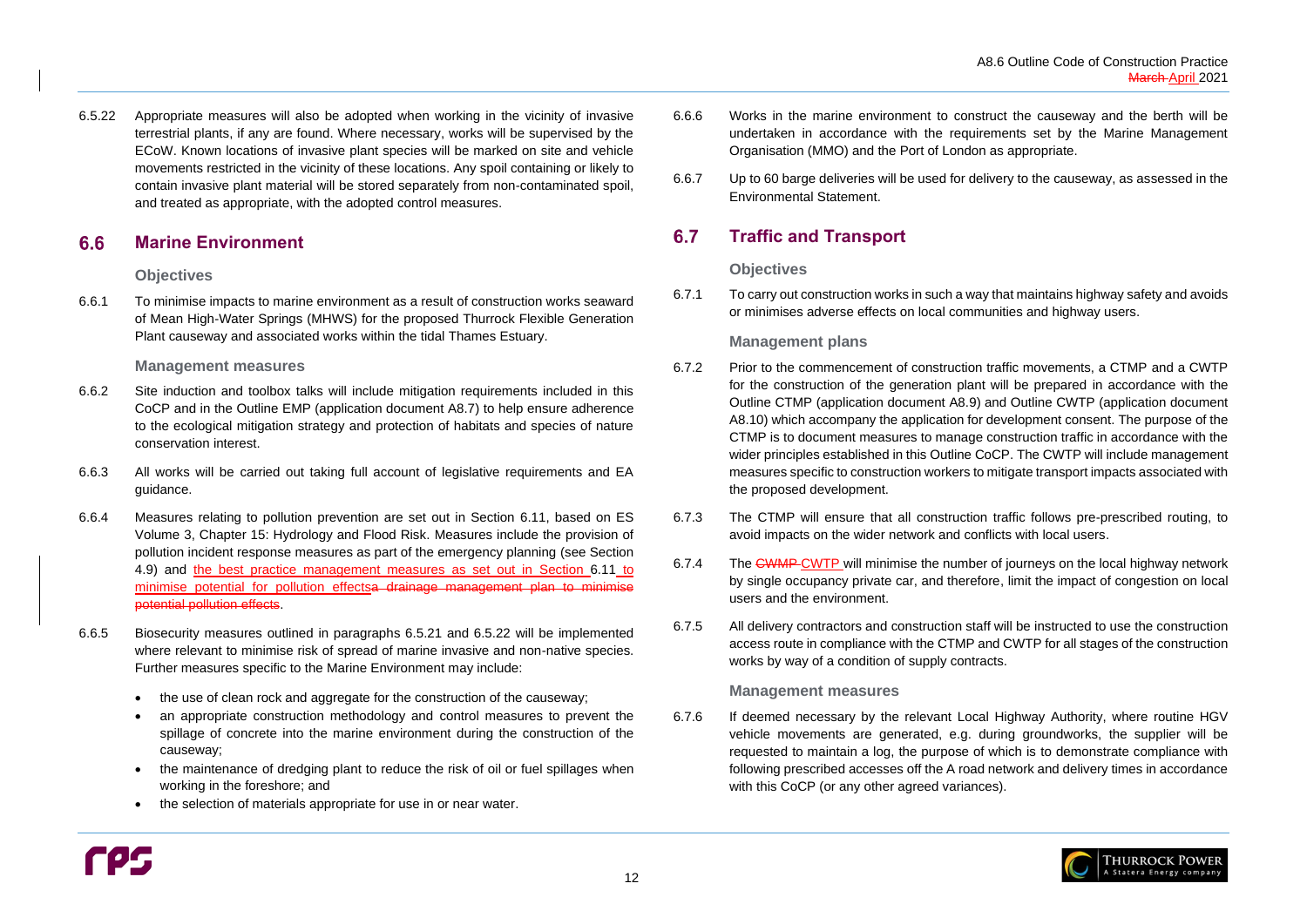

#### <span id="page-15-0"></span> $6.6$ **Marine Environment**

6.5.22 Appropriate measures will also be adopted when working in the vicinity of invasive terrestrial plants, if any are found. Where necessary, works will be supervised by the ECoW. Known locations of invasive plant species will be marked on site and vehicle movements restricted in the vicinity of these locations. Any spoil containing or likely to contain invasive plant material will be stored separately from non-contaminated spoil, and treated as appropriate, with the adopted control measures.

### **Objectives**

6.6.1 To minimise impacts to marine environment as a result of construction works seaward of Mean High-Water Springs (MHWS) for the proposed Thurrock Flexible Generation Plant causeway and associated works within the tidal Thames Estuary.

### **Management measures**

#### <span id="page-15-1"></span>6.7 **Traffic and Transport**

- 6.6.2 Site induction and toolbox talks will include mitigation requirements included in this CoCP and in the Outline EMP (application document A8.7) to help ensure adherence to the ecological mitigation strategy and protection of habitats and species of nature conservation interest.
- 6.6.3 All works will be carried out taking full account of legislative requirements and EA guidance.
- 6.6.4 Measures relating to pollution prevention are set out in Section [6.11,](#page-19-1) based on ES Volume 3, Chapter 15: Hydrology and Flood Risk. Measures include the provision of pollution incident response measures as part of the emergency planning (see Section [4.9\)](#page-9-4) and the best practice management measures as set out in Section [6.11](#page-19-1) to minimise potential for pollution effectsa drainage management plan to minimise potential pollution effects.
- 6.6.5 Biosecurity measures outlined in paragraphs [6.5.21](#page-14-0) and 6.5.22 will be implemented where relevant to minimise risk of spread of marine invasive and non-native species. Further measures specific to the Marine Environment may include:
	- the use of clean rock and aggregate for the construction of the causeway;
	- an appropriate construction methodology and control measures to prevent the spillage of concrete into the marine environment during the construction of the causeway;
	- the maintenance of dredging plant to reduce the risk of oil or fuel spillages when working in the foreshore; and
	- the selection of materials appropriate for use in or near water.

6.7.6 If deemed necessary by the relevant Local Highway Authority, where routine HGV vehicle movements are generated, e.g. during groundworks, the supplier will be requested to maintain a log, the purpose of which is to demonstrate compliance with following prescribed accesses off the A road network and delivery times in accordance with this CoCP (or any other agreed variances).

6.6.7 Up to 60 barge deliveries will be used for delivery to the causeway, as assessed in the Environmental Statement.

### **Objectives**

6.7.1 To carry out construction works in such a way that maintains highway safety and avoids or minimises adverse effects on local communities and highway users.

### **Management plans**

- 6.7.2 Prior to the commencement of construction traffic movements, a CTMP and a CWTP for the construction of the generation plant will be prepared in accordance with the Outline CTMP (application document A8.9) and Outline CWTP (application document A8.10) which accompany the application for development consent. The purpose of the CTMP is to document measures to manage construction traffic in accordance with the wider principles established in this Outline CoCP. The CWTP will include management measures specific to construction workers to mitigate transport impacts associated with the proposed development.
- 6.7.3 The CTMP will ensure that all construction traffic follows pre-prescribed routing, to avoid impacts on the wider network and conflicts with local users.
- 6.7.4 The CWMP CWTP will minimise the number of journeys on the local highway network by single occupancy private car, and therefore, limit the impact of congestion on local users and the environment.
- 6.7.5 All delivery contractors and construction staff will be instructed to use the construction access route in compliance with the CTMP and CWTP for all stages of the construction works by way of a condition of supply contracts.

### **Management measures**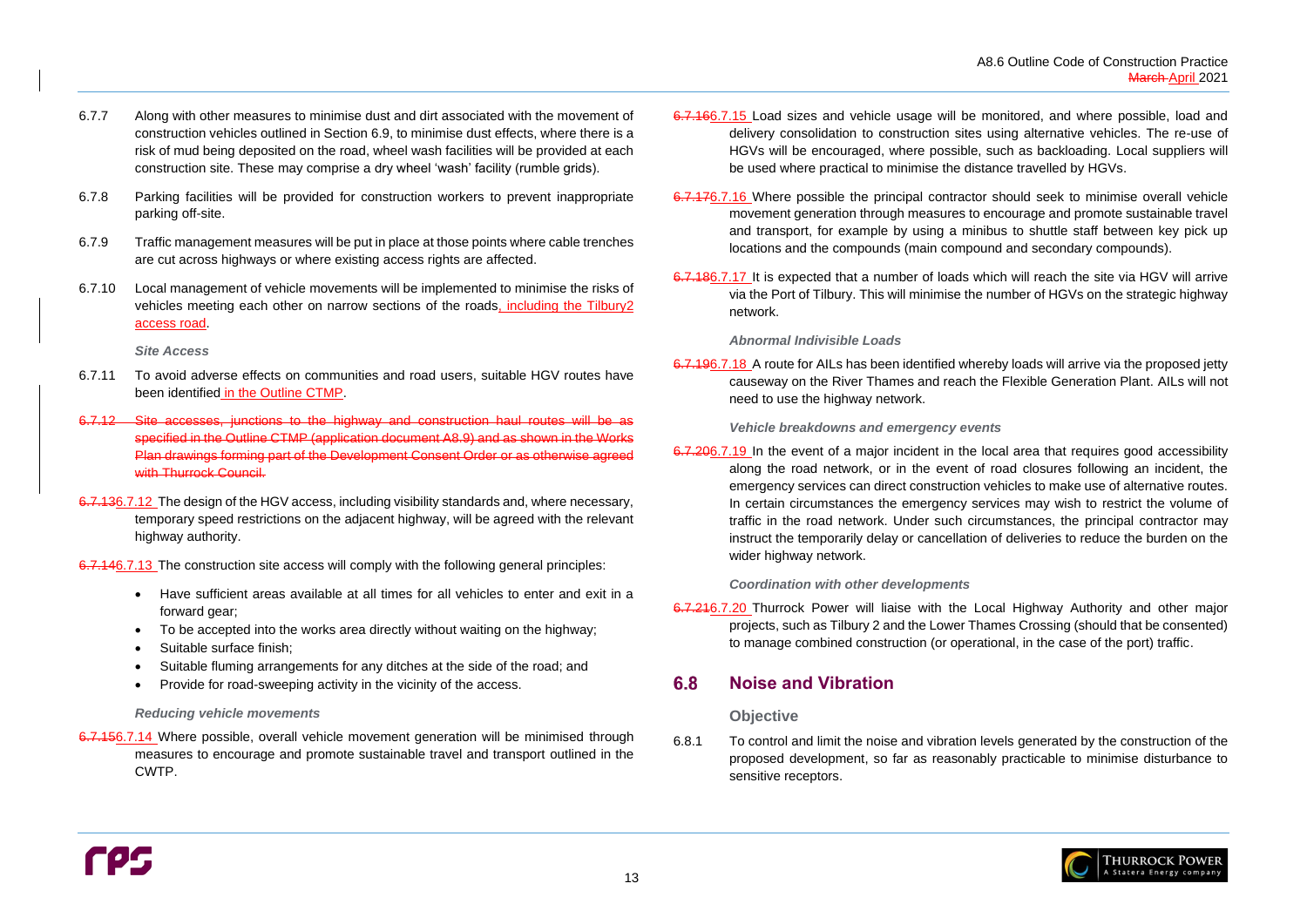

- 6.7.7 Along with other measures to minimise dust and dirt associated with the movement of construction vehicles outlined in Section [6.9,](#page-17-0) to minimise dust effects, where there is a risk of mud being deposited on the road, wheel wash facilities will be provided at each construction site. These may comprise a dry wheel 'wash' facility (rumble grids).
- 6.7.8 Parking facilities will be provided for construction workers to prevent inappropriate parking off-site.
- 6.7.9 Traffic management measures will be put in place at those points where cable trenches are cut across highways or where existing access rights are affected.
- 6.7.10 Local management of vehicle movements will be implemented to minimise the risks of vehicles meeting each other on narrow sections of the roads, including the Tilbury2 access road.

*Site Access*

6.7.156.7.14 Where possible, overall vehicle movement generation will be minimised through measures to encourage and promote sustainable travel and transport outlined in the CWTP.

- 6.7.11 To avoid adverse effects on communities and road users, suitable HGV routes have been identified in the Outline CTMP.
- 6.7.12 Site accesses, junctions to the highway and construction haul routes will be as specified in the Outline CTMP (application document A8.9) and as shown in the Works Plan drawings forming part of the Development Consent Order or as otherwise agreed with Thurrock Council.
- 6.7.136.7.12 The design of the HGV access, including visibility standards and, where necessary, temporary speed restrictions on the adjacent highway, will be agreed with the relevant highway authority.

6.7.146.7.13 The construction site access will comply with the following general principles:

6.7.196.7.18 A route for AILs has been identified whereby loads will arrive via the proposed jetty causeway on the River Thames and reach the Flexible Generation Plant. AILs will not need to use the highway network.

- Have sufficient areas available at all times for all vehicles to enter and exit in a forward gear;
- To be accepted into the works area directly without waiting on the highway;
- Suitable surface finish;
- Suitable fluming arrangements for any ditches at the side of the road; and
- Provide for road-sweeping activity in the vicinity of the access.

6.7.206.7.19 In the event of a major incident in the local area that requires good accessibility along the road network, or in the event of road closures following an incident, the emergency services can direct construction vehicles to make use of alternative routes. In certain circumstances the emergency services may wish to restrict the volume of traffic in the road network. Under such circumstances, the principal contractor may instruct the temporarily delay or cancellation of deliveries to reduce the burden on the wider highway network.

### *Reducing vehicle movements*

#### <span id="page-16-0"></span>6.8 **Noise and Vibration**

- 6.7.166.7.15 Load sizes and vehicle usage will be monitored, and where possible, load and delivery consolidation to construction sites using alternative vehicles. The re-use of HGVs will be encouraged, where possible, such as backloading. Local suppliers will be used where practical to minimise the distance travelled by HGVs.
- 6.7.176.7.16 Where possible the principal contractor should seek to minimise overall vehicle movement generation through measures to encourage and promote sustainable travel and transport, for example by using a minibus to shuttle staff between key pick up locations and the compounds (main compound and secondary compounds).
- 6.7.186.7.17 It is expected that a number of loads which will reach the site via HGV will arrive via the Port of Tilbury. This will minimise the number of HGVs on the strategic highway network.

### *Abnormal Indivisible Loads*

*Vehicle breakdowns and emergency events* 

*Coordination with other developments*

6.7.216.7.20 Thurrock Power will liaise with the Local Highway Authority and other major projects, such as Tilbury 2 and the Lower Thames Crossing (should that be consented) to manage combined construction (or operational, in the case of the port) traffic.

## **Objective**

6.8.1 To control and limit the noise and vibration levels generated by the construction of the proposed development, so far as reasonably practicable to minimise disturbance to sensitive receptors.

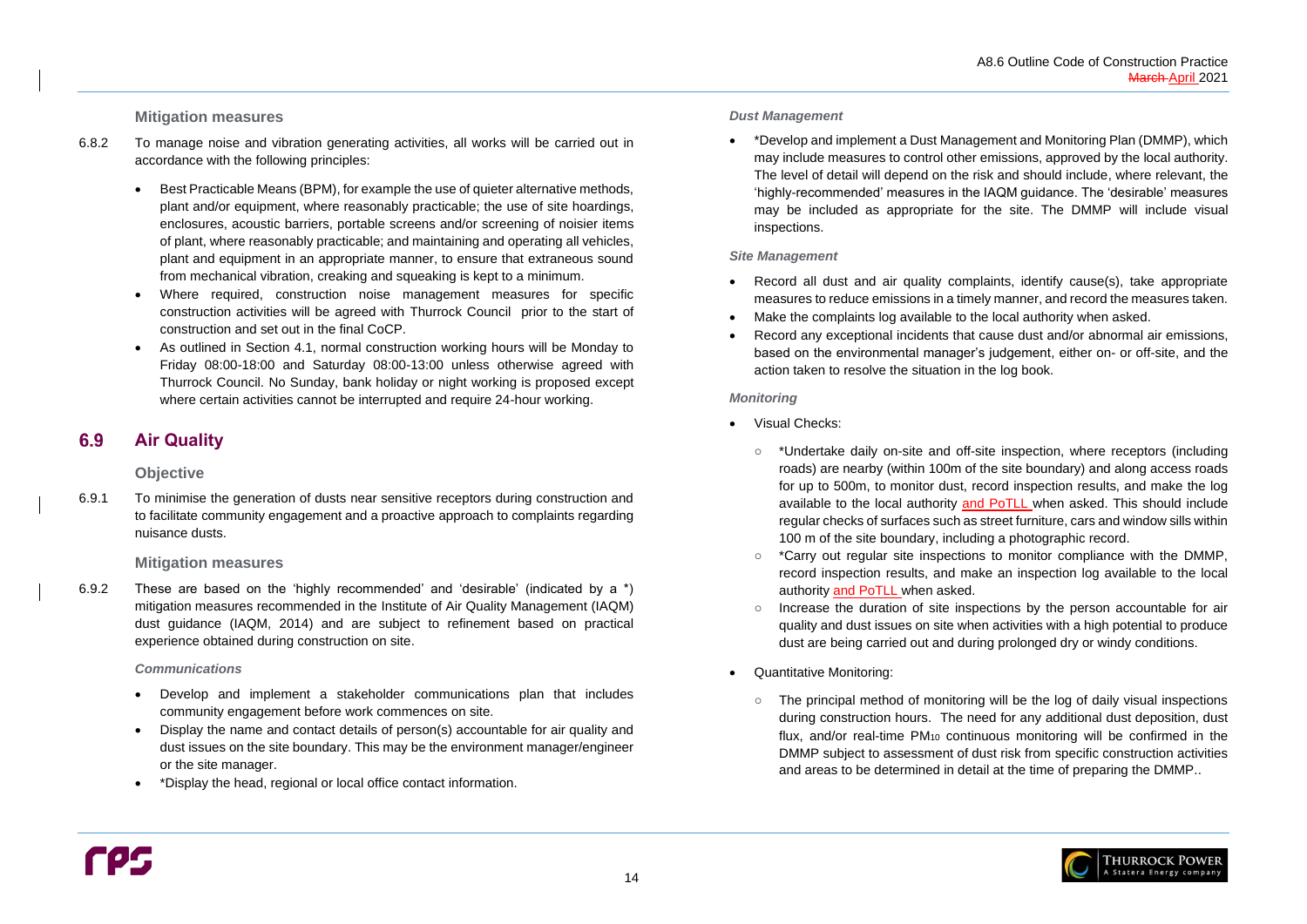### **Mitigation measures**

#### <span id="page-17-0"></span>6.9 **Air Quality**

- 6.8.2 To manage noise and vibration generating activities, all works will be carried out in accordance with the following principles:
	- Best Practicable Means (BPM), for example the use of quieter alternative methods, plant and/or equipment, where reasonably practicable; the use of site hoardings, enclosures, acoustic barriers, portable screens and/or screening of noisier items of plant, where reasonably practicable; and maintaining and operating all vehicles, plant and equipment in an appropriate manner, to ensure that extraneous sound from mechanical vibration, creaking and squeaking is kept to a minimum.
	- Where required, construction noise management measures for specific construction activities will be agreed with Thurrock Council prior to the start of construction and set out in the final CoCP.
	- As outlined in Section [4.1,](#page-8-1) normal construction working hours will be Monday to Friday 08:00-18:00 and Saturday 08:00-13:00 unless otherwise agreed with Thurrock Council. No Sunday, bank holiday or night working is proposed except where certain activities cannot be interrupted and require 24-hour working.

### **Objective**

6.9.1 To minimise the generation of dusts near sensitive receptors during construction and to facilitate community engagement and a proactive approach to complaints regarding nuisance dusts.

Record all dust and air quality complaints, identify cause(s), take appropriate measures to reduce emissions in a timely manner, and record the measures taken.

### **Mitigation measures**

- 
- Make the complaints log available to the local authority when asked.
- action taken to resolve the situation in the log book.

6.9.2 These are based on the 'highly recommended' and 'desirable' (indicated by a \*) mitigation measures recommended in the Institute of Air Quality Management (IAQM) dust guidance (IAQM, 2014) and are subject to refinement based on practical experience obtained during construction on site.

\*Undertake daily on-site and off-site inspection, where receptors (including roads) are nearby (within 100m of the site boundary) and along access roads for up to 500m, to monitor dust, record inspection results, and make the log available to the local authority and PoTLL when asked. This should include regular checks of surfaces such as street furniture, cars and window sills within

### *Communications*

\*Carry out regular site inspections to monitor compliance with the DMMP, record inspection results, and make an inspection log available to the local

- Develop and implement a stakeholder communications plan that includes community engagement before work commences on site.
- Display the name and contact details of person(s) accountable for air quality and dust issues on the site boundary. This may be the environment manager/engineer or the site manager.
- \*Display the head, regional or local office contact information.

#### *Dust Management*

• \*Develop and implement a Dust Management and Monitoring Plan (DMMP), which inspections.

may include measures to control other emissions, approved by the local authority. The level of detail will depend on the risk and should include, where relevant, the 'highly-recommended' measures in the IAQM guidance. The 'desirable' measures may be included as appropriate for the site. The DMMP will include visual

### *Site Management*

• Record any exceptional incidents that cause dust and/or abnormal air emissions, based on the environmental manager's judgement, either on- or off-site, and the

### *Monitoring*

- Visual Checks:
	- 100 m of the site boundary, including a photographic record.
	- authority and PoTLL when asked.
	- dust are being carried out and during prolonged dry or windy conditions.
- Quantitative Monitoring:
	-

○ Increase the duration of site inspections by the person accountable for air quality and dust issues on site when activities with a high potential to produce

○ The principal method of monitoring will be the log of daily visual inspections during construction hours. The need for any additional dust deposition, dust flux, and/or real-time PM<sup>10</sup> continuous monitoring will be confirmed in the DMMP subject to assessment of dust risk from specific construction activities and areas to be determined in detail at the time of preparing the DMMP..

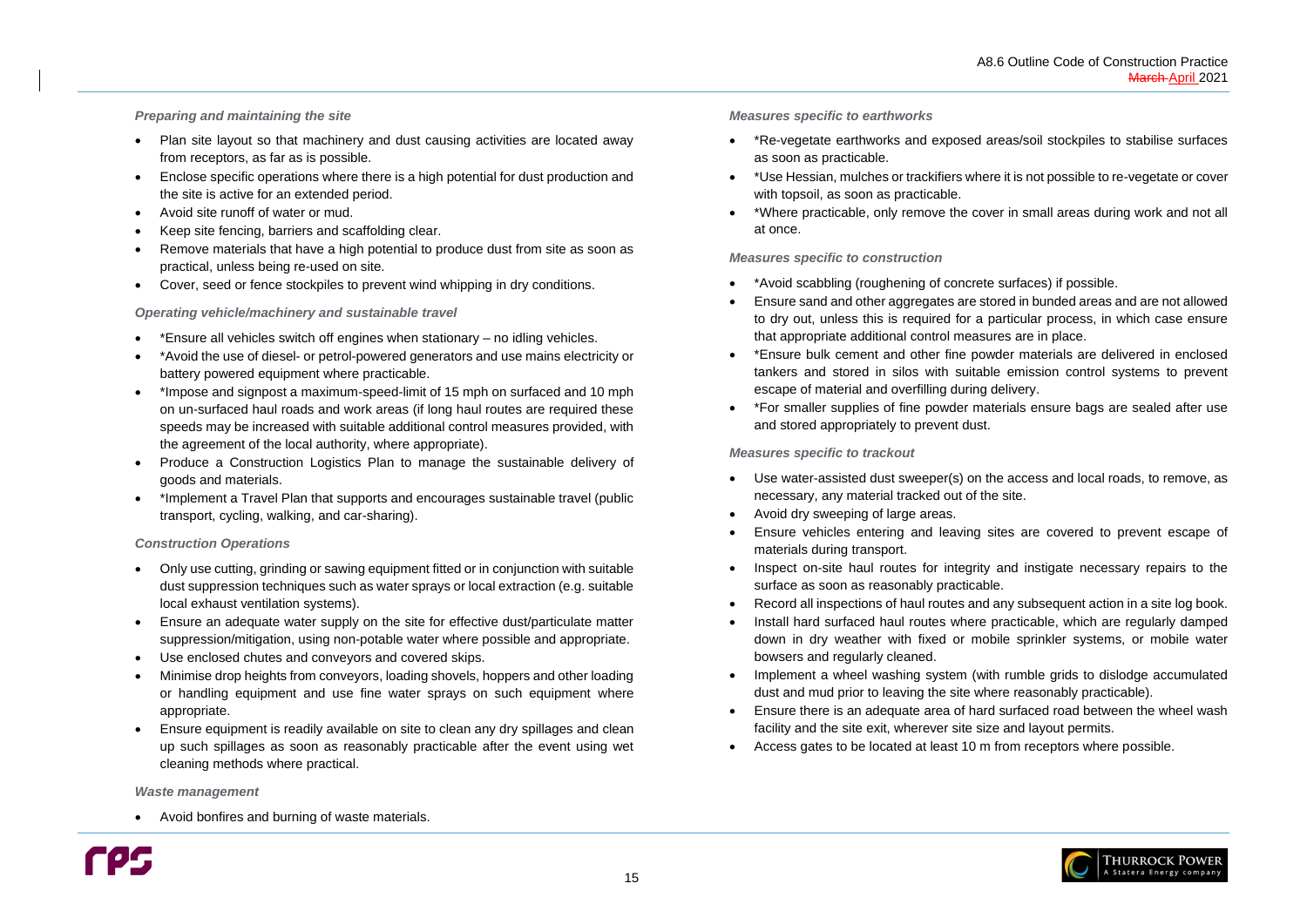### *Preparing and maintaining the site*

- Plan site layout so that machinery and dust causing activities are located away from receptors, as far as is possible.
- Enclose specific operations where there is a high potential for dust production and the site is active for an extended period.
- Avoid site runoff of water or mud.
- Keep site fencing, barriers and scaffolding clear.
- Remove materials that have a high potential to produce dust from site as soon as practical, unless being re-used on site.
- Cover, seed or fence stockpiles to prevent wind whipping in dry conditions.

#### *Operating vehicle/machinery and sustainable travel*

- \*Ensure all vehicles switch off engines when stationary no idling vehicles.
- \*Avoid the use of diesel- or petrol-powered generators and use mains electricity or battery powered equipment where practicable.
- \*Impose and signpost a maximum-speed-limit of 15 mph on surfaced and 10 mph on un-surfaced haul roads and work areas (if long haul routes are required these speeds may be increased with suitable additional control measures provided, with the agreement of the local authority, where appropriate).
- Produce a Construction Logistics Plan to manage the sustainable delivery of goods and materials.
- \*Implement a Travel Plan that supports and encourages sustainable travel (public transport, cycling, walking, and car-sharing).

#### *Construction Operations*

- Only use cutting, grinding or sawing equipment fitted or in conjunction with suitable dust suppression techniques such as water sprays or local extraction (e.g. suitable local exhaust ventilation systems).
- Ensure an adequate water supply on the site for effective dust/particulate matter suppression/mitigation, using non-potable water where possible and appropriate.
- Use enclosed chutes and conveyors and covered skips.
- Minimise drop heights from conveyors, loading shovels, hoppers and other loading or handling equipment and use fine water sprays on such equipment where appropriate.
- Ensure equipment is readily available on site to clean any dry spillages and clean up such spillages as soon as reasonably practicable after the event using wet cleaning methods where practical.

#### *Waste management*

• Avoid bonfires and burning of waste materials.



#### *Measures specific to earthworks*

• \*Re-vegetate earthworks and exposed areas/soil stockpiles to stabilise surfaces

• \*Use Hessian, mulches or trackifiers where it is not possible to re-vegetate or cover

- as soon as practicable.
- with topsoil, as soon as practicable.
- at once.

• \*Where practicable, only remove the cover in small areas during work and not all

#### *Measures specific to construction*

• Ensure sand and other aggregates are stored in bunded areas and are not allowed to dry out, unless this is required for a particular process, in which case ensure

- \*Avoid scabbling (roughening of concrete surfaces) if possible.
- that appropriate additional control measures are in place.
- escape of material and overfilling during delivery.
- and stored appropriately to prevent dust.

• \*Ensure bulk cement and other fine powder materials are delivered in enclosed tankers and stored in silos with suitable emission control systems to prevent

• \*For smaller supplies of fine powder materials ensure bags are sealed after use

### *Measures specific to trackout*

• Use water-assisted dust sweeper(s) on the access and local roads, to remove, as

• Ensure vehicles entering and leaving sites are covered to prevent escape of

• Inspect on-site haul routes for integrity and instigate necessary repairs to the

• Record all inspections of haul routes and any subsequent action in a site log book.

- necessary, any material tracked out of the site.
- Avoid dry sweeping of large areas.
- materials during transport.
- surface as soon as reasonably practicable.
- 
- bowsers and regularly cleaned.
- dust and mud prior to leaving the site where reasonably practicable).
- facility and the site exit, wherever site size and layout permits.
- Access gates to be located at least 10 m from receptors where possible.

• Install hard surfaced haul routes where practicable, which are regularly damped down in dry weather with fixed or mobile sprinkler systems, or mobile water

• Implement a wheel washing system (with rumble grids to dislodge accumulated

• Ensure there is an adequate area of hard surfaced road between the wheel wash

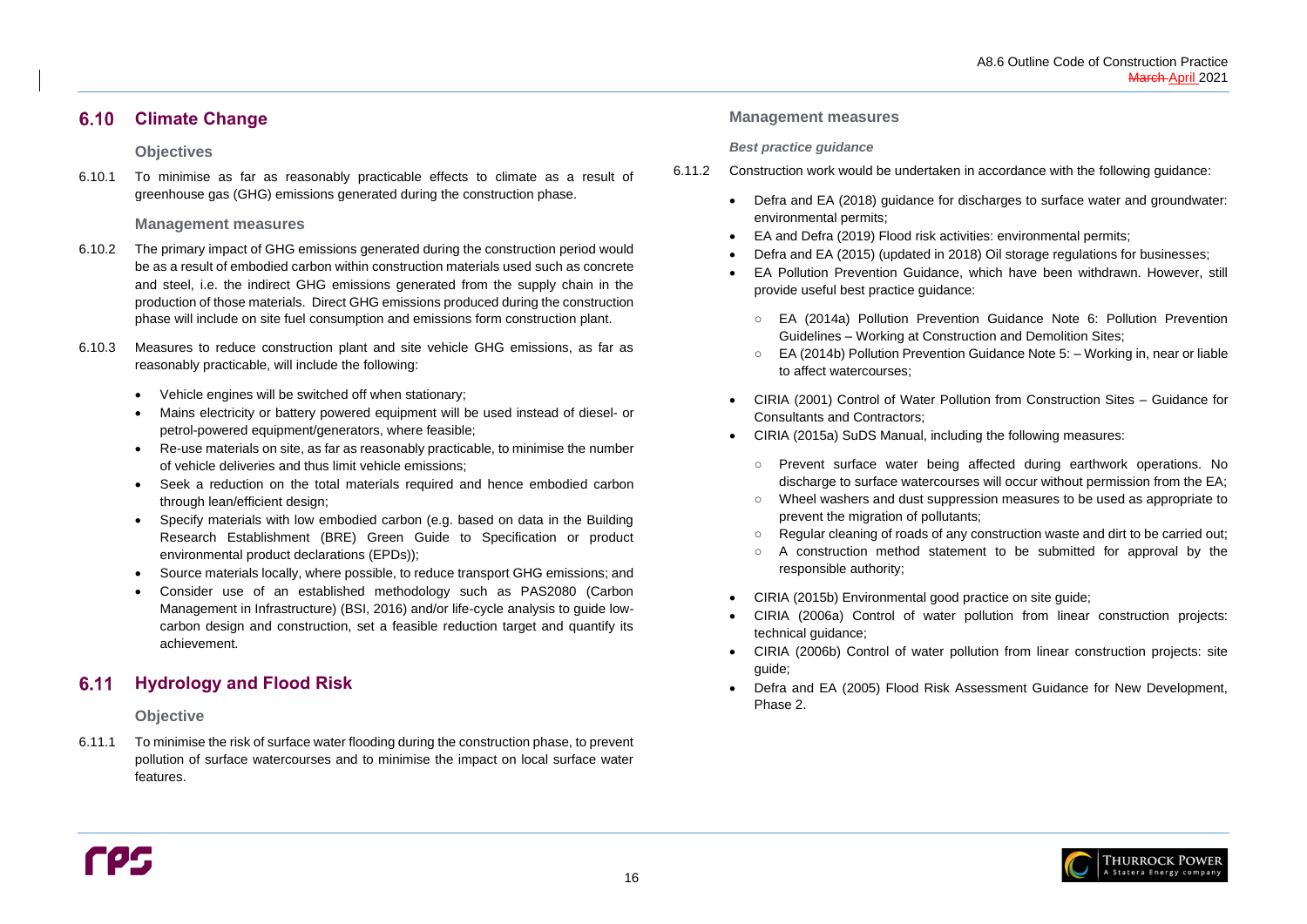

#### <span id="page-19-0"></span>**Climate Change**  $6.10$

### **Objectives**

6.10.1 To minimise as far as reasonably practicable effects to climate as a result of greenhouse gas (GHG) emissions generated during the construction phase.

### **Management measures**

#### <span id="page-19-1"></span>**Hydrology and Flood Risk**  $6.11$

- 6.10.2 The primary impact of GHG emissions generated during the construction period would be as a result of embodied carbon within construction materials used such as concrete and steel, i.e. the indirect GHG emissions generated from the supply chain in the production of those materials. Direct GHG emissions produced during the construction phase will include on site fuel consumption and emissions form construction plant.
- 6.10.3 Measures to reduce construction plant and site vehicle GHG emissions, as far as reasonably practicable, will include the following:
	- Vehicle engines will be switched off when stationary;
	- Mains electricity or battery powered equipment will be used instead of diesel- or petrol-powered equipment/generators, where feasible;
	- Re-use materials on site, as far as reasonably practicable, to minimise the number of vehicle deliveries and thus limit vehicle emissions;
	- Seek a reduction on the total materials required and hence embodied carbon through lean/efficient design;
	- Specify materials with low embodied carbon (e.g. based on data in the Building Research Establishment (BRE) Green Guide to Specification or product environmental product declarations (EPDs));
	- Source materials locally, where possible, to reduce transport GHG emissions; and
	- Consider use of an established methodology such as PAS2080 (Carbon Management in Infrastructure) (BSI, 2016) and/or life-cycle analysis to guide lowcarbon design and construction, set a feasible reduction target and quantify its achievement.

### **Objective**

6.11.1 To minimise the risk of surface water flooding during the construction phase, to prevent pollution of surface watercourses and to minimise the impact on local surface water features.

### **Management measures**

#### *Best practice guidance*

- 6.11.2 Construction work would be undertaken in accordance with the following guidance:
	- Defra and EA (2018) guidance for discharges to surface water and groundwater: environmental permits;
	- EA and Defra (2019) Flood risk activities: environmental permits; • Defra and EA (2015) (updated in 2018) Oil storage regulations for businesses; • EA Pollution Prevention Guidance, which have been withdrawn. However, still
	-
	- provide useful best practice guidance:
		- EA (2014a) Pollution Prevention Guidance Note 6: Pollution Prevention Guidelines – Working at Construction and Demolition Sites; ○ EA (2014b) Pollution Prevention Guidance Note 5: – Working in, near or liable
		- to affect watercourses;
	- CIRIA (2001) Control of Water Pollution from Construction Sites Guidance for Consultants and Contractors;
	- CIRIA (2015a) SuDS Manual, including the following measures:
		- Prevent surface water being affected during earthwork operations. No discharge to surface watercourses will occur without permission from the EA; ○ Wheel washers and dust suppression measures to be used as appropriate to
		- prevent the migration of pollutants;
		- Regular cleaning of roads of any construction waste and dirt to be carried out; A construction method statement to be submitted for approval by the
		- responsible authority;
	- CIRIA (2015b) Environmental good practice on site guide; • CIRIA (2006a) Control of water pollution from linear construction projects:
	- technical guidance;
	- CIRIA (2006b) Control of water pollution from linear construction projects: site guide;
	- Defra and EA (2005) Flood Risk Assessment Guidance for New Development, Phase 2.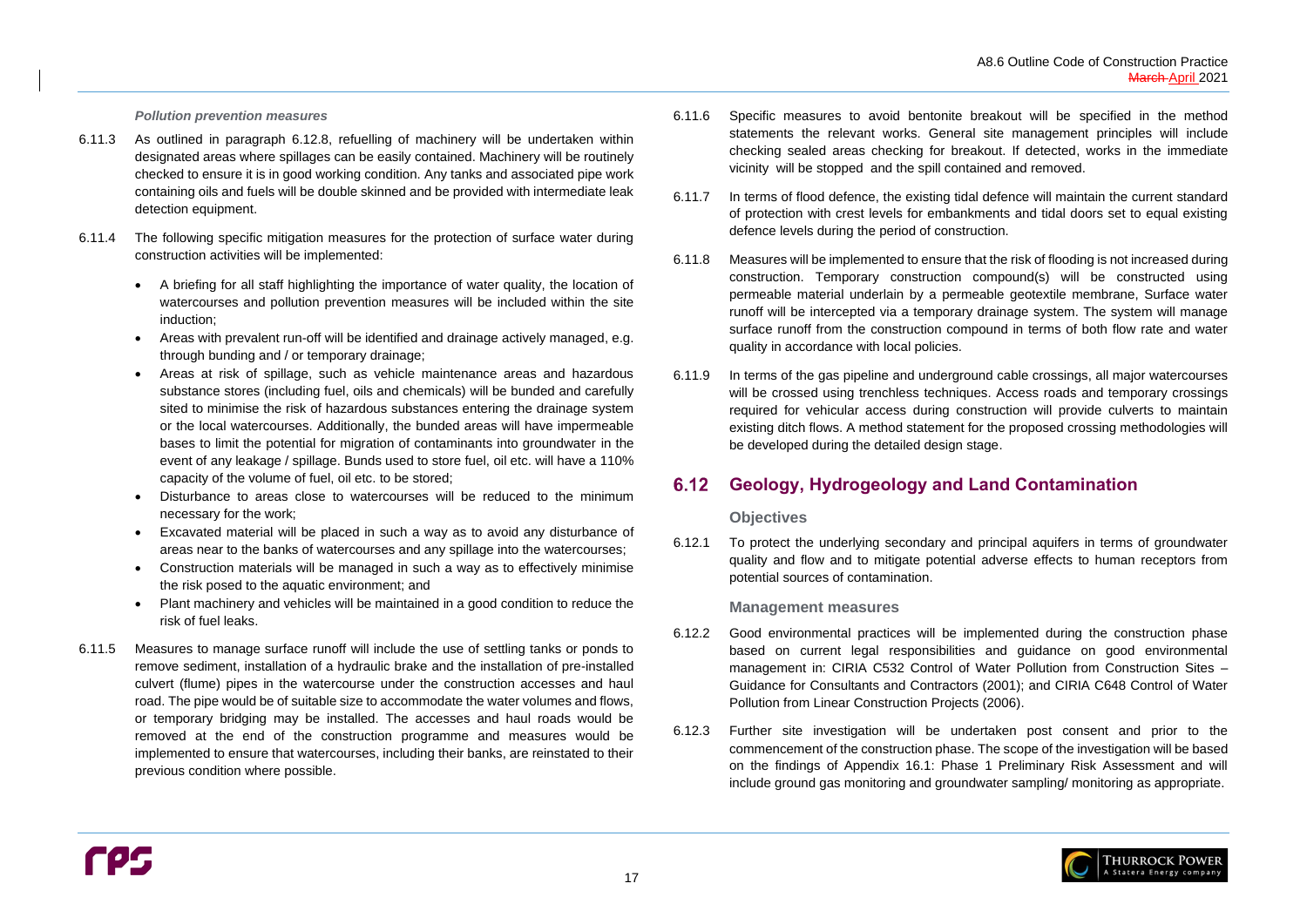

#### *Pollution prevention measures*

- 6.11.3 As outlined in paragraph [6.12.8,](#page-21-1) refuelling of machinery will be undertaken within designated areas where spillages can be easily contained. Machinery will be routinely checked to ensure it is in good working condition. Any tanks and associated pipe work containing oils and fuels will be double skinned and be provided with intermediate leak detection equipment.
- 6.11.4 The following specific mitigation measures for the protection of surface water during construction activities will be implemented:
	- A briefing for all staff highlighting the importance of water quality, the location of watercourses and pollution prevention measures will be included within the site induction;
	- Areas with prevalent run-off will be identified and drainage actively managed, e.g. through bunding and / or temporary drainage;
	- Areas at risk of spillage, such as vehicle maintenance areas and hazardous substance stores (including fuel, oils and chemicals) will be bunded and carefully sited to minimise the risk of hazardous substances entering the drainage system or the local watercourses. Additionally, the bunded areas will have impermeable bases to limit the potential for migration of contaminants into groundwater in the event of any leakage / spillage. Bunds used to store fuel, oil etc. will have a 110% capacity of the volume of fuel, oil etc. to be stored;
	- Disturbance to areas close to watercourses will be reduced to the minimum necessary for the work;
	- Excavated material will be placed in such a way as to avoid any disturbance of areas near to the banks of watercourses and any spillage into the watercourses;
	- Construction materials will be managed in such a way as to effectively minimise the risk posed to the aquatic environment; and
	- Plant machinery and vehicles will be maintained in a good condition to reduce the risk of fuel leaks.
- 6.11.5 Measures to manage surface runoff will include the use of settling tanks or ponds to remove sediment, installation of a hydraulic brake and the installation of pre-installed culvert (flume) pipes in the watercourse under the construction accesses and haul road. The pipe would be of suitable size to accommodate the water volumes and flows, or temporary bridging may be installed. The accesses and haul roads would be removed at the end of the construction programme and measures would be implemented to ensure that watercourses, including their banks, are reinstated to their previous condition where possible.

#### <span id="page-20-0"></span> $6.12$ **Geology, Hydrogeology and Land Contamination**

- 6.11.6 Specific measures to avoid bentonite breakout will be specified in the method statements the relevant works. General site management principles will include checking sealed areas checking for breakout. If detected, works in the immediate vicinity will be stopped and the spill contained and removed.
- 6.11.7 In terms of flood defence, the existing tidal defence will maintain the current standard of protection with crest levels for embankments and tidal doors set to equal existing defence levels during the period of construction.
- 6.11.8 Measures will be implemented to ensure that the risk of flooding is not increased during construction. Temporary construction compound(s) will be constructed using permeable material underlain by a permeable geotextile membrane, Surface water runoff will be intercepted via a temporary drainage system. The system will manage surface runoff from the construction compound in terms of both flow rate and water quality in accordance with local policies.
- 6.11.9 In terms of the gas pipeline and underground cable crossings, all major watercourses will be crossed using trenchless techniques. Access roads and temporary crossings required for vehicular access during construction will provide culverts to maintain existing ditch flows. A method statement for the proposed crossing methodologies will be developed during the detailed design stage.

### **Objectives**

6.12.1 To protect the underlying secondary and principal aquifers in terms of groundwater quality and flow and to mitigate potential adverse effects to human receptors from potential sources of contamination.

### **Management measures**

- 6.12.2 Good environmental practices will be implemented during the construction phase based on current legal responsibilities and guidance on good environmental management in: CIRIA C532 Control of Water Pollution from Construction Sites – Guidance for Consultants and Contractors (2001); and CIRIA C648 Control of Water Pollution from Linear Construction Projects (2006).
- 6.12.3 Further site investigation will be undertaken post consent and prior to the commencement of the construction phase. The scope of the investigation will be based on the findings of Appendix 16.1: Phase 1 Preliminary Risk Assessment and will include ground gas monitoring and groundwater sampling/ monitoring as appropriate.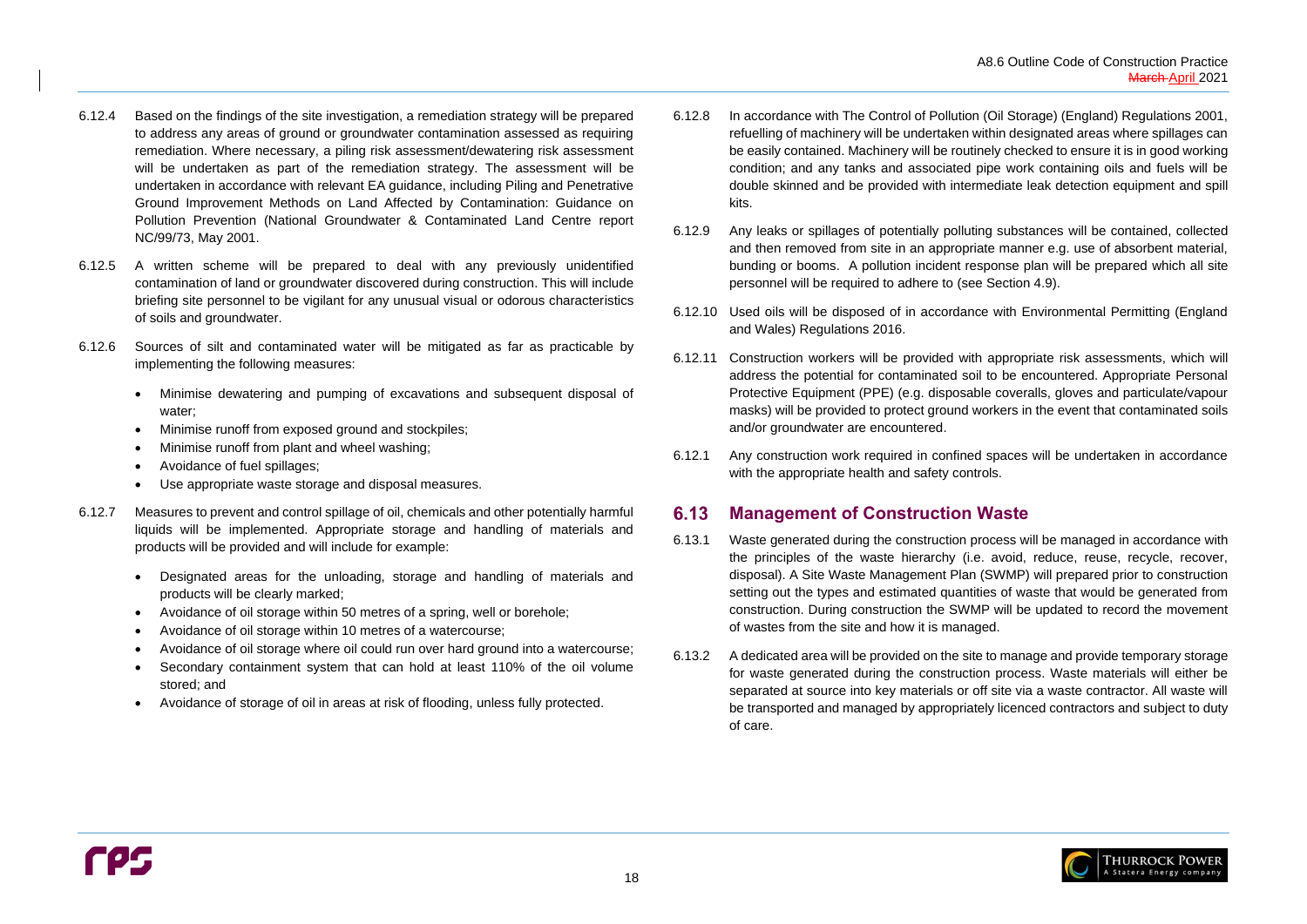

- 6.12.4 Based on the findings of the site investigation, a remediation strategy will be prepared to address any areas of ground or groundwater contamination assessed as requiring remediation. Where necessary, a piling risk assessment/dewatering risk assessment will be undertaken as part of the remediation strategy. The assessment will be undertaken in accordance with relevant EA guidance, including Piling and Penetrative Ground Improvement Methods on Land Affected by Contamination: Guidance on Pollution Prevention (National Groundwater & Contaminated Land Centre report NC/99/73, May 2001.
- 6.12.5 A written scheme will be prepared to deal with any previously unidentified contamination of land or groundwater discovered during construction. This will include briefing site personnel to be vigilant for any unusual visual or odorous characteristics of soils and groundwater.
- 6.12.6 Sources of silt and contaminated water will be mitigated as far as practicable by implementing the following measures:
	- Minimise dewatering and pumping of excavations and subsequent disposal of water;
	- Minimise runoff from exposed ground and stockpiles;
	- Minimise runoff from plant and wheel washing;
	- Avoidance of fuel spillages;
	- Use appropriate waste storage and disposal measures.
- 6.12.7 Measures to prevent and control spillage of oil, chemicals and other potentially harmful liquids will be implemented. Appropriate storage and handling of materials and products will be provided and will include for example:
	- Designated areas for the unloading, storage and handling of materials and products will be clearly marked;
	- Avoidance of oil storage within 50 metres of a spring, well or borehole;
	- Avoidance of oil storage within 10 metres of a watercourse;
	- Avoidance of oil storage where oil could run over hard ground into a watercourse;
	- Secondary containment system that can hold at least 110% of the oil volume stored; and
	- Avoidance of storage of oil in areas at risk of flooding, unless fully protected.

#### <span id="page-21-0"></span>**Management of Construction Waste**  $6.13$

- <span id="page-21-1"></span>6.12.8 In accordance with The Control of Pollution (Oil Storage) (England) Regulations 2001, refuelling of machinery will be undertaken within designated areas where spillages can be easily contained. Machinery will be routinely checked to ensure it is in good working condition; and any tanks and associated pipe work containing oils and fuels will be double skinned and be provided with intermediate leak detection equipment and spill kits.
- 6.12.9 Any leaks or spillages of potentially polluting substances will be contained, collected and then removed from site in an appropriate manner e.g. use of absorbent material, bunding or booms. A pollution incident response plan will be prepared which all site personnel will be required to adhere to (see Section [4.9\)](#page-9-4).
- 6.12.10 Used oils will be disposed of in accordance with Environmental Permitting (England and Wales) Regulations 2016.
- 6.12.11 Construction workers will be provided with appropriate risk assessments, which will address the potential for contaminated soil to be encountered. Appropriate Personal Protective Equipment (PPE) (e.g. disposable coveralls, gloves and particulate/vapour masks) will be provided to protect ground workers in the event that contaminated soils and/or groundwater are encountered.
- 6.12.1 Any construction work required in confined spaces will be undertaken in accordance with the appropriate health and safety controls.

- 6.13.1 Waste generated during the construction process will be managed in accordance with the principles of the waste hierarchy (i.e. avoid, reduce, reuse, recycle, recover, disposal). A Site Waste Management Plan (SWMP) will prepared prior to construction setting out the types and estimated quantities of waste that would be generated from construction. During construction the SWMP will be updated to record the movement of wastes from the site and how it is managed.
- 6.13.2 A dedicated area will be provided on the site to manage and provide temporary storage for waste generated during the construction process. Waste materials will either be separated at source into key materials or off site via a waste contractor. All waste will be transported and managed by appropriately licenced contractors and subject to duty of care.